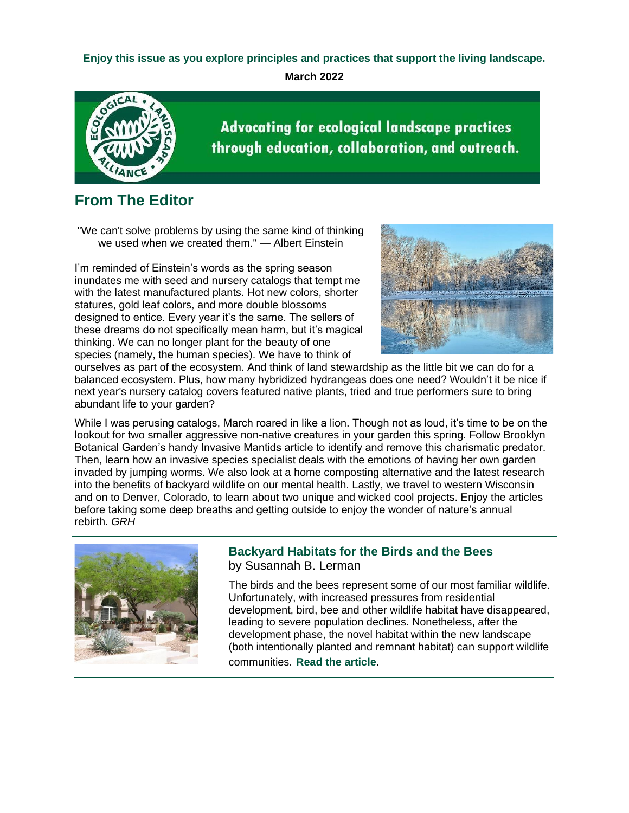# **Enjoy this issue as you explore principles and practices that support the living landscape.**

**March 2022**



**Advocating for ecological landscape practices** through education, collaboration, and outreach.

# **From The Editor**

"We can't solve problems by using the same kind of thinking we used when we created them." — Albert Einstein

I'm reminded of Einstein's words as the spring season inundates me with seed and nursery catalogs that tempt me with the latest manufactured plants. Hot new colors, shorter statures, gold leaf colors, and more double blossoms designed to entice. Every year it's the same. The sellers of these dreams do not specifically mean harm, but it's magical thinking. We can no longer plant for the beauty of one species (namely, the human species). We have to think of



ourselves as part of the ecosystem. And think of land stewardship as the little bit we can do for a balanced ecosystem. Plus, how many hybridized hydrangeas does one need? Wouldn't it be nice if next year's nursery catalog covers featured native plants, tried and true performers sure to bring abundant life to your garden?

While I was perusing catalogs, March roared in like a lion. Though not as loud, it's time to be on the lookout for two smaller aggressive non-native creatures in your garden this spring. Follow Brooklyn Botanical Garden's handy Invasive Mantids article to identify and remove this charismatic predator. Then, learn how an invasive species specialist deals with the emotions of having her own garden invaded by jumping worms. We also look at a home composting alternative and the latest research into the benefits of backyard wildlife on our mental health. Lastly, we travel to western Wisconsin and on to Denver, Colorado, to learn about two unique and wicked cool projects. Enjoy the articles before taking some deep breaths and getting outside to enjoy the wonder of nature's annual rebirth. *GRH*



# **Backyard Habitats for the Birds and the Bees** by Susannah B. Lerman

The birds and the bees represent some of our most familiar wildlife. Unfortunately, with increased pressures from residential development, bird, bee and other wildlife habitat have disappeared, leading to severe population declines. Nonetheless, after the development phase, the novel habitat within the new landscape (both intentionally planted and remnant habitat) can support wildlife communities. **[Read the article](https://r20.rs6.net/tn.jsp?f=001Pv0MPfFvU5iex5Uc03TLApY-hFi1AnWJsIloZAF9seCVqL0v-dW1hti0qFQTbPINRmgpGWcqvAAJMd2nvn88_6LonHCPvfZlu0Ax4y_6W933YVNFEhruxY9jda0FrNEGtSWivgjd2qQyYX_opM8SzyX1rNosHd_-7lvuW-I35rynLGEpzpWY6XXByWqpV4UNdcA9z6C2adBf5TcbTeXNwyRP3DCiwEQAkltzECWPIEaTfOqzErfh0UCa5htjJc63lg9h1YtvBP8=&c=AoKnR7bkG71gFbjiSkooKwSgDsmMenYcyb6ttTpJ_JTk9AkJ8qdlfA==&ch=szsaDi2JhSisZK2phfnYZ9hF7byqzVPB4iNnchNqJDsGK1Tdc3Eb1g==)**.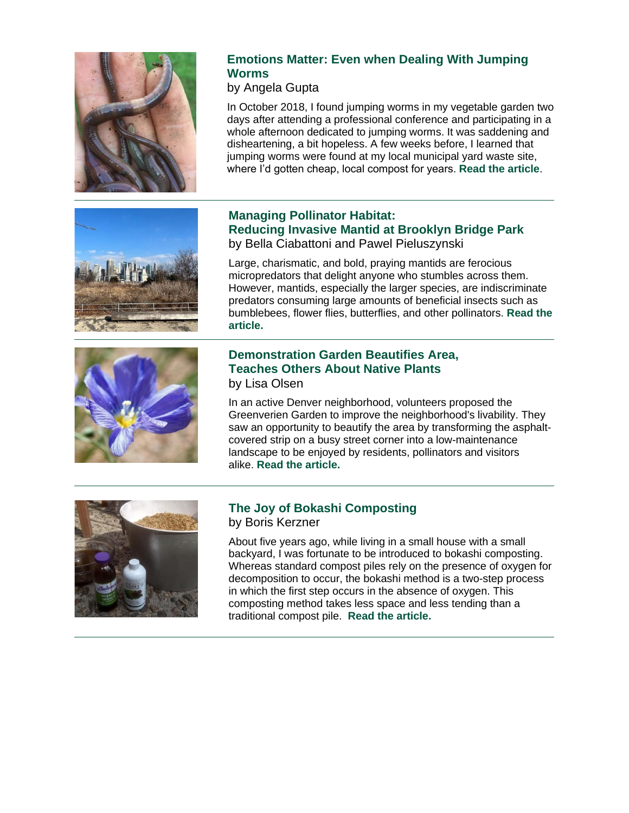



# **Emotions Matter: Even when Dealing With Jumping Worms**

by Angela Gupta

In October 2018, I found jumping worms in my vegetable garden two days after attending a professional conference and participating in a whole afternoon dedicated to jumping worms. It was saddening and disheartening, a bit hopeless. A few weeks before, I learned that jumping worms were found at my local municipal yard waste site, where I'd gotten cheap, local compost for years. **[Read the article](https://r20.rs6.net/tn.jsp?f=001Pv0MPfFvU5iex5Uc03TLApY-hFi1AnWJsIloZAF9seCVqL0v-dW1hti0qFQTbPIN_XLEYSE6uS6myErGRHUXEtuhgpdIJg1FI_R6GtD159ZNOjPQ3Xkx1tuomHG9DdMmKM_SMvzmWO-pSKLhsv52pog431JtLfPQkpGnn-pax5jQqtjZODJ92pSWOrd63flNCPUiZYf524GMx2eGhoFcM9qCMHUihIEb2L_C3P_695ALo78_vnc37i4YF4vihHuiR951yTkJuTcenk2ysZXUVNgukvePvJoF&c=AoKnR7bkG71gFbjiSkooKwSgDsmMenYcyb6ttTpJ_JTk9AkJ8qdlfA==&ch=szsaDi2JhSisZK2phfnYZ9hF7byqzVPB4iNnchNqJDsGK1Tdc3Eb1g==)**.

# **Managing Pollinator Habitat: Reducing Invasive Mantid at Brooklyn Bridge Park** by Bella Ciabattoni and Pawel Pieluszynski

Large, charismatic, and bold, praying mantids are ferocious micropredators that delight anyone who stumbles across them. However, mantids, especially the larger species, are indiscriminate predators consuming large amounts of beneficial insects such as bumblebees, flower flies, butterflies, and other pollinators. **[Read the](https://r20.rs6.net/tn.jsp?f=001Pv0MPfFvU5iex5Uc03TLApY-hFi1AnWJsIloZAF9seCVqL0v-dW1hti0qFQTbPINpypJuzDootFH7VtBMAUorJWEn0L7SMEi32fkcoNI-ktZyQG8eeS_pnWOg8zPCg8xRobGr8_7qcJ1shuOwDihmjuF58Z4ZG7OVxnpEEBXyXtCZKoHrVsYnkabT_Q1YpAdJ6VRq_6_TdzhzmWME81XkWiX4cHBOEkQyQFi00AktE4knHPoxiDeZ6HJ4nnDeiyOWtYAPDvNlBkLSF_03RHYiDDm-NIfgHtcc-8x2Zen3WUwkc2YPyl4I16LzXKQsr13&c=AoKnR7bkG71gFbjiSkooKwSgDsmMenYcyb6ttTpJ_JTk9AkJ8qdlfA==&ch=szsaDi2JhSisZK2phfnYZ9hF7byqzVPB4iNnchNqJDsGK1Tdc3Eb1g==)  [article.](https://r20.rs6.net/tn.jsp?f=001Pv0MPfFvU5iex5Uc03TLApY-hFi1AnWJsIloZAF9seCVqL0v-dW1hti0qFQTbPINpypJuzDootFH7VtBMAUorJWEn0L7SMEi32fkcoNI-ktZyQG8eeS_pnWOg8zPCg8xRobGr8_7qcJ1shuOwDihmjuF58Z4ZG7OVxnpEEBXyXtCZKoHrVsYnkabT_Q1YpAdJ6VRq_6_TdzhzmWME81XkWiX4cHBOEkQyQFi00AktE4knHPoxiDeZ6HJ4nnDeiyOWtYAPDvNlBkLSF_03RHYiDDm-NIfgHtcc-8x2Zen3WUwkc2YPyl4I16LzXKQsr13&c=AoKnR7bkG71gFbjiSkooKwSgDsmMenYcyb6ttTpJ_JTk9AkJ8qdlfA==&ch=szsaDi2JhSisZK2phfnYZ9hF7byqzVPB4iNnchNqJDsGK1Tdc3Eb1g==)**

# **Demonstration Garden Beautifies Area, Teaches Others About Native Plants** by Lisa Olsen

In an active Denver neighborhood, volunteers proposed the Greenverien Garden to improve the neighborhood's livability. They saw an opportunity to beautify the area by transforming the asphaltcovered strip on a busy street corner into a low-maintenance landscape to be enjoyed by residents, pollinators and visitors alike. **[Read the article.](https://r20.rs6.net/tn.jsp?f=001Pv0MPfFvU5iex5Uc03TLApY-hFi1AnWJsIloZAF9seCVqL0v-dW1hti0qFQTbPINNSyhj_2dMVFPf5jMgBAaEIdpWXX7zaX2OmY_iyzwQwOB7MIdJHN6hc_MvXKVFAGdyUjwKLithpZO5cICfatP7PhPv4328PHPCSk2C5WbfI9jP_fPWJBlZXHKyApfkPqSMutgACC2RzCkHYqGxotgej26OzPtrm9S0izGSfpiJDQThDmdCV29Uzl9Y4TnBXBDYLe7SbqSdRgySguM1-tKHyAAplLLcIUH2riCgolCvM3QT6O3-S6NCnVXgzqB2ZJU8PoPFakmuk0=&c=AoKnR7bkG71gFbjiSkooKwSgDsmMenYcyb6ttTpJ_JTk9AkJ8qdlfA==&ch=szsaDi2JhSisZK2phfnYZ9hF7byqzVPB4iNnchNqJDsGK1Tdc3Eb1g==)**



# **The Joy of Bokashi Composting** by Boris Kerzner

About five years ago, while living in a small house with a small backyard, I was fortunate to be introduced to bokashi composting. Whereas standard compost piles rely on the presence of oxygen for decomposition to occur, the bokashi method is a two-step process in which the first step occurs in the absence of oxygen. This composting method takes less space and less tending than a traditional compost pile. **[Read the article.](https://r20.rs6.net/tn.jsp?f=001Pv0MPfFvU5iex5Uc03TLApY-hFi1AnWJsIloZAF9seCVqL0v-dW1hti0qFQTbPINR19M39-NlAXhgwf7m4jIG70HE7QfXWWL2zL_AsclAeyb3meKUGoQU59iHWUjoMEy1_DfYOsk-2cwWNhzO0F4TaN8DqwnLdCy2EU90fFBJeHc1cKmWLT5UkHuBMOUlY19kkI0Yk_Q0JOTvrfEBovD2cd3pHCBw-SjWiSf_Y3-NjXL6BnA1_83bX7Zh1O0M7FSzhLjhn7Rlx809N6afKLh7w==&c=AoKnR7bkG71gFbjiSkooKwSgDsmMenYcyb6ttTpJ_JTk9AkJ8qdlfA==&ch=szsaDi2JhSisZK2phfnYZ9hF7byqzVPB4iNnchNqJDsGK1Tdc3Eb1g==)**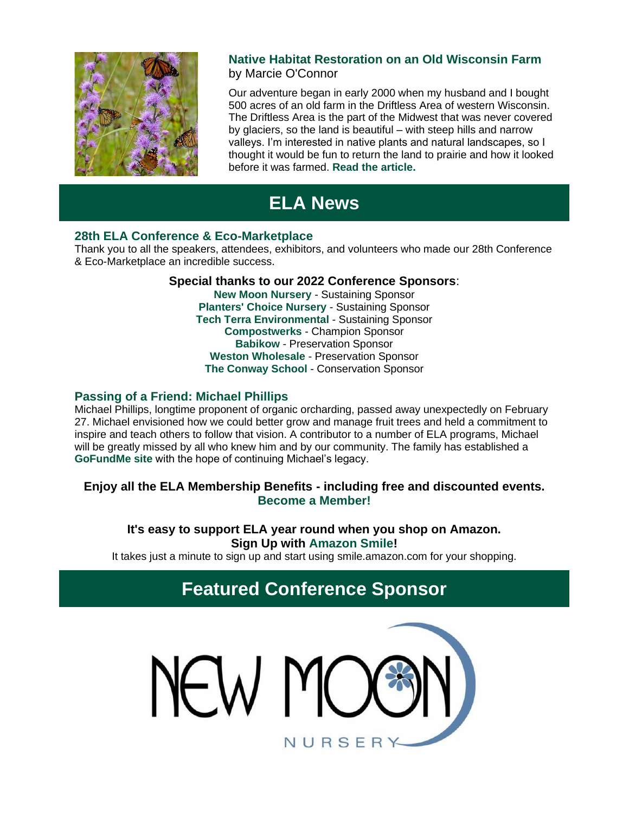

# **Native Habitat Restoration on an Old Wisconsin Farm** by Marcie O'Connor

Our adventure began in early 2000 when my husband and I bought 500 acres of an old farm in the Driftless Area of western Wisconsin. The Driftless Area is the part of the Midwest that was never covered by glaciers, so the land is beautiful – with steep hills and narrow valleys. I'm interested in native plants and natural landscapes, so I thought it would be fun to return the land to prairie and how it looked before it was farmed. **[Read the article.](https://r20.rs6.net/tn.jsp?f=001Pv0MPfFvU5iex5Uc03TLApY-hFi1AnWJsIloZAF9seCVqL0v-dW1hti0qFQTbPIN51NG0GKPVYjTMh-yNQsph-qfl7mcphwJofgZ4_m6F-ciCC9ojb2f9km6xy_KW1OetrpCuR9NPjvGEFUfRHPDbci2LIbt-ehJHMZVf9XBga1zxX0zhkvtv9w_CyyyjNGVqOu4Tzg8VL1gKpd9ywCFhqhyu5_C-rLzJHxB-COIMgr7ksdVCgAjk6ET0otn81T2xH2TEBDvcbruZcBSWUefUujHCOSa67R9&c=AoKnR7bkG71gFbjiSkooKwSgDsmMenYcyb6ttTpJ_JTk9AkJ8qdlfA==&ch=szsaDi2JhSisZK2phfnYZ9hF7byqzVPB4iNnchNqJDsGK1Tdc3Eb1g==)**

# **ELA News**

# **28th ELA Conference & Eco-Marketplace**

Thank you to all the speakers, attendees, exhibitors, and volunteers who made our 28th Conference & Eco-Marketplace an incredible success.

# **[Special thanks to our 2022 Conference Sponsors](https://r20.rs6.net/tn.jsp?f=001Pv0MPfFvU5iex5Uc03TLApY-hFi1AnWJsIloZAF9seCVqL0v-dW1hqVTr3qBps9Hl-IFkoxp9CVVLF7zdw7C432AcdLGvUFYD4ibWtTFAy7_LuKIXrJ129GQ2PKJSndkvEZCiLhv69BuBsTypKbHDuOSz9V5Fdb0pcu24svc3CCoecv5tsabd26ZA42FZPPym3CT-Ljw5ec=&c=AoKnR7bkG71gFbjiSkooKwSgDsmMenYcyb6ttTpJ_JTk9AkJ8qdlfA==&ch=szsaDi2JhSisZK2phfnYZ9hF7byqzVPB4iNnchNqJDsGK1Tdc3Eb1g==)**:

**[New Moon Nursery](https://r20.rs6.net/tn.jsp?f=001Pv0MPfFvU5iex5Uc03TLApY-hFi1AnWJsIloZAF9seCVqL0v-dW1hmtOzRsHznhgT24Q4PyNKrct_PpulgiUN5J4GlJ7RmKu5L2BjzBrN9n3BnzP-9dROZdSQhdijHJpYZlbA3R_W6579d8Zzok_tbsdjrliOQTG&c=AoKnR7bkG71gFbjiSkooKwSgDsmMenYcyb6ttTpJ_JTk9AkJ8qdlfA==&ch=szsaDi2JhSisZK2phfnYZ9hF7byqzVPB4iNnchNqJDsGK1Tdc3Eb1g==)** - Sustaining Sponsor **[Planters' Choice Nursery](https://r20.rs6.net/tn.jsp?f=001Pv0MPfFvU5iex5Uc03TLApY-hFi1AnWJsIloZAF9seCVqL0v-dW1hkZlhcoMCoXQMikrvgcuHP2X4StcQt9EW2RVJXVSDsYGyQWsCjQDYYwgoGjhG_DXMQqBaSxr6Cav6tH-Z2vEWcYQZsNs2CMdvQ==&c=AoKnR7bkG71gFbjiSkooKwSgDsmMenYcyb6ttTpJ_JTk9AkJ8qdlfA==&ch=szsaDi2JhSisZK2phfnYZ9hF7byqzVPB4iNnchNqJDsGK1Tdc3Eb1g==)** - Sustaining Sponsor **[Tech Terra Environmental](https://r20.rs6.net/tn.jsp?f=001Pv0MPfFvU5iex5Uc03TLApY-hFi1AnWJsIloZAF9seCVqL0v-dW1hkPB6f0pn4xzC5vVwj5tOmJgt0AT7JPwqjCA2b6b2inhjiI754HYzHkQDLrtvdnxzDnvIDBjHZ4bEJEg463ywpGLXdk5Ls33fxKFnTEXuE9PTOv4xsmVz7w=&c=AoKnR7bkG71gFbjiSkooKwSgDsmMenYcyb6ttTpJ_JTk9AkJ8qdlfA==&ch=szsaDi2JhSisZK2phfnYZ9hF7byqzVPB4iNnchNqJDsGK1Tdc3Eb1g==)** - Sustaining Sponsor **[Compostwerks](https://r20.rs6.net/tn.jsp?f=001Pv0MPfFvU5iex5Uc03TLApY-hFi1AnWJsIloZAF9seCVqL0v-dW1hgWCPPlMv-B3VWHbj9vUMQ0hAnkXEeKno-sMZZ3DZNHw9jjGkx2_5bWjLP7o3qACVOaFQMH7n48czKQyWyhVj_aEkzitDyvemg==&c=AoKnR7bkG71gFbjiSkooKwSgDsmMenYcyb6ttTpJ_JTk9AkJ8qdlfA==&ch=szsaDi2JhSisZK2phfnYZ9hF7byqzVPB4iNnchNqJDsGK1Tdc3Eb1g==)** - Champion Sponsor **[Babikow](https://r20.rs6.net/tn.jsp?f=001Pv0MPfFvU5iex5Uc03TLApY-hFi1AnWJsIloZAF9seCVqL0v-dW1hj2zquNoblMlfPiQx_pQDpxAIPFpX5XEBOeBzxOj4_M29t3RN8CCaoKImKuOkWRxKjOqc1PWH0l20ZSevvloA1-uZ8L_Cju7_w==&c=AoKnR7bkG71gFbjiSkooKwSgDsmMenYcyb6ttTpJ_JTk9AkJ8qdlfA==&ch=szsaDi2JhSisZK2phfnYZ9hF7byqzVPB4iNnchNqJDsGK1Tdc3Eb1g==)** - Preservation Sponsor **[Weston Wholesale](https://r20.rs6.net/tn.jsp?f=001Pv0MPfFvU5iex5Uc03TLApY-hFi1AnWJsIloZAF9seCVqL0v-dW1hoC4zmdxLo6WW0nHtfX9IPv2ZKNtloN_mDVgtDbTV4DxLeWGmVnUT8JoQW7uygbochPaQB0TWOM5g3R9tVxWo0hTyuWQLbH49A==&c=AoKnR7bkG71gFbjiSkooKwSgDsmMenYcyb6ttTpJ_JTk9AkJ8qdlfA==&ch=szsaDi2JhSisZK2phfnYZ9hF7byqzVPB4iNnchNqJDsGK1Tdc3Eb1g==)** - Preservation Sponsor **[The Conway School](https://r20.rs6.net/tn.jsp?f=001Pv0MPfFvU5iex5Uc03TLApY-hFi1AnWJsIloZAF9seCVqL0v-dW1hv2u3KrINInVYN8dxjOjqT57R1ExwGZBwTpTIiUVTmm7HY7O1EtSFHTPgK3eMxM5b1nJBRukMR05iUIbz0uIukc=&c=AoKnR7bkG71gFbjiSkooKwSgDsmMenYcyb6ttTpJ_JTk9AkJ8qdlfA==&ch=szsaDi2JhSisZK2phfnYZ9hF7byqzVPB4iNnchNqJDsGK1Tdc3Eb1g==)** - Conservation Sponsor

# **Passing of a Friend: Michael Phillips**

Michael Phillips, longtime proponent of organic orcharding, passed away unexpectedly on February 27. Michael envisioned how we could better grow and manage fruit trees and held a commitment to inspire and teach others to follow that vision. A contributor to a number of ELA programs, Michael will be greatly missed by all who knew him and by our community. The family has established a **[GoFundMe site](https://r20.rs6.net/tn.jsp?f=001Pv0MPfFvU5iex5Uc03TLApY-hFi1AnWJsIloZAF9seCVqL0v-dW1hti0qFQTbPIN_bBfCkrJAs7ywpJ2fcXVw-xvSsAANf2kF37V6LhMd6Pnr3Mvqavgru7Il8JPT0wv--f40YMpNOx4VrOcX0dklkFjJ08SNroK4SbL3X4crtKKB1M8sEJkPYpNiJv5ghKpQQnHmCQPceyUAElmPmZ2b_Ev7KO3pkCwp8oacCCjrGa-iSB-9rU96wxPdg-eQvj78qrXTa3E0lZiX4VEvE-AO7V8-U2GkTxfRfyERzzkoCAsHJHqwLToBarpMdxhulmuEUUH3cUshaffAKELo6llQETBnk55_APxPBNkaudYzC2En-JKA-VsfJyu00JzotQHJYqyfP9PipYc-Qrin_ke0PXmoAYTk02JuDzHnalTKMt5O_mFF9MtW4xJ8PxU1UkuoLjWmi3ZoGEVa-YKJ1WUbE9GEOp26HaQdNfgv5igfvqOxfBJzRY4oZq1FeqIKnmcqylzwR51p3ZwLS0FP3y1bEtmRQPZLKNGAgDpnnW50CAP7x1nULJbgAMu7tH7QeH3iL1o08e6oj2VmNlhNwdwWNrNmBxtF8jSd2qJVYMFq4ktvglbdMWaTgw9LmYi8qByi4_Fx3CUGap-ADWRhQna0z6_5CcP4YRM-V6sdISA9YrnRBR_Ldj8oQbGrmD7-fbMevWUPR5yxwitiqx62HwTHnCOwLPoIOgpdHU42L5qMP0=&c=AoKnR7bkG71gFbjiSkooKwSgDsmMenYcyb6ttTpJ_JTk9AkJ8qdlfA==&ch=szsaDi2JhSisZK2phfnYZ9hF7byqzVPB4iNnchNqJDsGK1Tdc3Eb1g==)** with the hope of continuing Michael's legacy.

# **Enjoy all the ELA Membership Benefits - including free and discounted events. [Become a Member!](https://r20.rs6.net/tn.jsp?f=001Pv0MPfFvU5iex5Uc03TLApY-hFi1AnWJsIloZAF9seCVqL0v-dW1hnPXdCJNZoejvRkUJD2FOtfsZBsWv19Szq15XnqIRKivIpE8LfDwGmlrq5amcI5_HrJEQAsAosutzacS6TmCQeMiCLyhK3mQx9BpUXf4enqdeSp3Cs30y7I=&c=AoKnR7bkG71gFbjiSkooKwSgDsmMenYcyb6ttTpJ_JTk9AkJ8qdlfA==&ch=szsaDi2JhSisZK2phfnYZ9hF7byqzVPB4iNnchNqJDsGK1Tdc3Eb1g==)**

# **It's easy to support ELA year round when you shop on Amazon. Sign Up with [Amazon Smile!](https://r20.rs6.net/tn.jsp?f=001Pv0MPfFvU5iex5Uc03TLApY-hFi1AnWJsIloZAF9seCVqL0v-dW1huFBmJe3CjqVycjU21bPkFk0DAO2Er_R9TkckjFkjSf5xL8bxyZ7jjZiggvbrI_OlyjqHd3iZOm-fT4LcL4PLkbH0NrWxOYA73ELAfIqdR0G6LbSKSdbfWE=&c=AoKnR7bkG71gFbjiSkooKwSgDsmMenYcyb6ttTpJ_JTk9AkJ8qdlfA==&ch=szsaDi2JhSisZK2phfnYZ9hF7byqzVPB4iNnchNqJDsGK1Tdc3Eb1g==)**

It takes just a minute to sign up and start using smile.amazon.com for your shopping.

# **Featured Conference Sponsor**

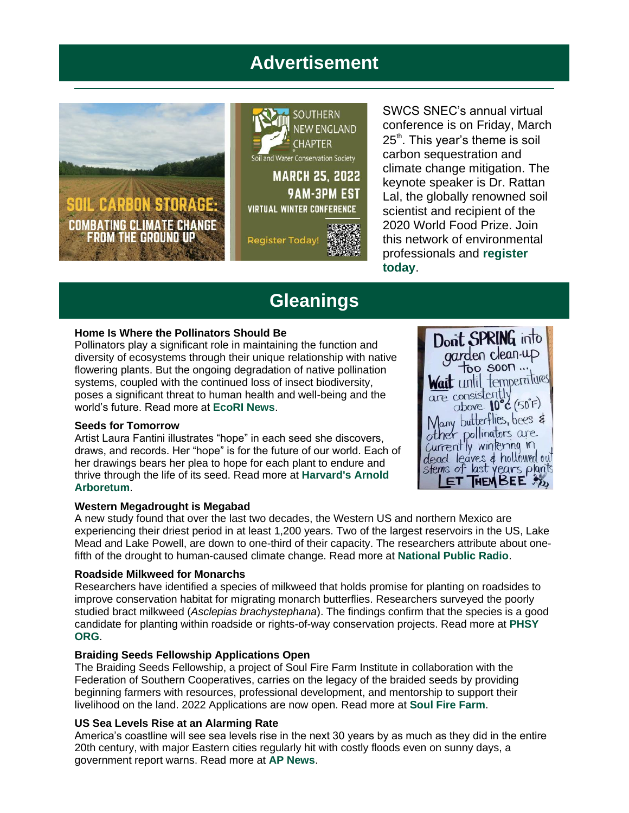# **Advertisement**



SWCS SNEC's annual virtual conference is on Friday, March  $25<sup>th</sup>$ . This year's theme is soil carbon sequestration and climate change mitigation. The keynote speaker is Dr. Rattan Lal, the globally renowned soil scientist and recipient of the 2020 World Food Prize. Join this network of environmental professionals and **[register](https://r20.rs6.net/tn.jsp?f=001Pv0MPfFvU5iex5Uc03TLApY-hFi1AnWJsIloZAF9seCVqL0v-dW1hti0qFQTbPINWnirnAtzns6oCSozIcd5AY5QjVMQRdcb0nh4zITTWkaxkG99rEHke8l5Nuz_JvXQl5-YnQcml6Zcwyxb8rZBOA==&c=AoKnR7bkG71gFbjiSkooKwSgDsmMenYcyb6ttTpJ_JTk9AkJ8qdlfA==&ch=szsaDi2JhSisZK2phfnYZ9hF7byqzVPB4iNnchNqJDsGK1Tdc3Eb1g==)  [today](https://r20.rs6.net/tn.jsp?f=001Pv0MPfFvU5iex5Uc03TLApY-hFi1AnWJsIloZAF9seCVqL0v-dW1hti0qFQTbPINWnirnAtzns6oCSozIcd5AY5QjVMQRdcb0nh4zITTWkaxkG99rEHke8l5Nuz_JvXQl5-YnQcml6Zcwyxb8rZBOA==&c=AoKnR7bkG71gFbjiSkooKwSgDsmMenYcyb6ttTpJ_JTk9AkJ8qdlfA==&ch=szsaDi2JhSisZK2phfnYZ9hF7byqzVPB4iNnchNqJDsGK1Tdc3Eb1g==)**.

# **Gleanings**

#### **Home Is Where the Pollinators Should Be**

Pollinators play a significant role in maintaining the function and diversity of ecosystems through their unique relationship with native flowering plants. But the ongoing degradation of native pollination systems, coupled with the continued loss of insect biodiversity, poses a significant threat to human health and well-being and the world's future. Read more at **[EcoRI News](https://r20.rs6.net/tn.jsp?f=001Pv0MPfFvU5iex5Uc03TLApY-hFi1AnWJsIloZAF9seCVqL0v-dW1hti0qFQTbPINhukDmaMA1tXqCy54mViGd2lO0i9ENdISaOLzEsRI-SYmw19Clqpjfz5mXQVLeq2AyEFSeGLgvUo2k46YCfTo-PA7q5pKgln8RYgKfPOpzLXZUguLOpemPCPwDdytNa-lKS7b7jwmKfY=&c=AoKnR7bkG71gFbjiSkooKwSgDsmMenYcyb6ttTpJ_JTk9AkJ8qdlfA==&ch=szsaDi2JhSisZK2phfnYZ9hF7byqzVPB4iNnchNqJDsGK1Tdc3Eb1g==)**.

#### **Seeds for Tomorrow**

Artist Laura Fantini illustrates "hope" in each seed she discovers, draws, and records. Her "hope" is for the future of our world. Each of her drawings bears her plea to hope for each plant to endure and thrive through the life of its seed. Read more at **[Harvard's Arnold](https://r20.rs6.net/tn.jsp?f=001Pv0MPfFvU5iex5Uc03TLApY-hFi1AnWJsIloZAF9seCVqL0v-dW1hti0qFQTbPINSvjXjUUXOzxzIIX9ll2MQhwduE6Ed20JLWsI-cfDpegmufa9tHPuvD-LQPSwv5F8D6HO0IUI1AmqEvCx_ly0GonoxSMULHGrJHd8hhxL-cJ6oSc93JedBJLrMxsROocftsa1LvKdFV5zLLlIKEu4r9yEZXtcT-newPvXNphFaVr9zjM91x6rhg==&c=AoKnR7bkG71gFbjiSkooKwSgDsmMenYcyb6ttTpJ_JTk9AkJ8qdlfA==&ch=szsaDi2JhSisZK2phfnYZ9hF7byqzVPB4iNnchNqJDsGK1Tdc3Eb1g==)  [Arboretum](https://r20.rs6.net/tn.jsp?f=001Pv0MPfFvU5iex5Uc03TLApY-hFi1AnWJsIloZAF9seCVqL0v-dW1hti0qFQTbPINSvjXjUUXOzxzIIX9ll2MQhwduE6Ed20JLWsI-cfDpegmufa9tHPuvD-LQPSwv5F8D6HO0IUI1AmqEvCx_ly0GonoxSMULHGrJHd8hhxL-cJ6oSc93JedBJLrMxsROocftsa1LvKdFV5zLLlIKEu4r9yEZXtcT-newPvXNphFaVr9zjM91x6rhg==&c=AoKnR7bkG71gFbjiSkooKwSgDsmMenYcyb6ttTpJ_JTk9AkJ8qdlfA==&ch=szsaDi2JhSisZK2phfnYZ9hF7byqzVPB4iNnchNqJDsGK1Tdc3Eb1g==)**.



#### **Western Megadrought is Megabad**

A new study found that over the last two decades, the Western US and northern Mexico are experiencing their driest period in at least 1,200 years. Two of the largest reservoirs in the US, Lake Mead and Lake Powell, are down to one-third of their capacity. The researchers attribute about onefifth of the drought to human-caused climate change. Read more at **[National Public Radio](https://r20.rs6.net/tn.jsp?f=001Pv0MPfFvU5iex5Uc03TLApY-hFi1AnWJsIloZAF9seCVqL0v-dW1hti0qFQTbPINbrLaUj7kxfqFRwh_p4eLcb7p3SBTAEpPLc5cqzXFNAPyhkXfgb69V5WHwKsUVE5o0rHhr-wMUt7zJz9HxpTpn5QqSiG7v9Kdf3_EOS3J4Xb2norp6Gn8m9CdulpiGJElLSgR8A85CT-SsGwN3kYNMGcOAzxzxH7-PUyeRGYDL56gHbdJ9id4SadMUrBc6T7TxjxRlFZyqixAkqYxbTizCyH_V_CMjr3O2-Srvtw8mHU1fsFUHwMOHqbihAu4b5L6F_YdBySfdOS-NJmjL0B7S_ANtrTz_O1owrLj9hwRlyY=&c=AoKnR7bkG71gFbjiSkooKwSgDsmMenYcyb6ttTpJ_JTk9AkJ8qdlfA==&ch=szsaDi2JhSisZK2phfnYZ9hF7byqzVPB4iNnchNqJDsGK1Tdc3Eb1g==)**.

#### **Roadside Milkweed for Monarchs**

Researchers have identified a species of milkweed that holds promise for planting on roadsides to improve conservation habitat for migrating monarch butterflies. Researchers surveyed the poorly studied bract milkweed (*Asclepias brachystephana*). The findings confirm that the species is a good candidate for planting within roadside or rights-of-way conservation projects. Read more at **[PHSY](https://r20.rs6.net/tn.jsp?f=001Pv0MPfFvU5iex5Uc03TLApY-hFi1AnWJsIloZAF9seCVqL0v-dW1hti0qFQTbPINvsU_sCjgnMsrnEXBfwbTsWohedVYJDE3W9MuzvsL5VHf17Oh_e8pVXnTORHPkolce_U0kNesVHxzplalB64RCA2BKcNAamVLULIT7zB0620WJsAQ0mTS-WWFwGBzx00qB98NKTnyYu0zAhohszuO4Q==&c=AoKnR7bkG71gFbjiSkooKwSgDsmMenYcyb6ttTpJ_JTk9AkJ8qdlfA==&ch=szsaDi2JhSisZK2phfnYZ9hF7byqzVPB4iNnchNqJDsGK1Tdc3Eb1g==) [ORG](https://r20.rs6.net/tn.jsp?f=001Pv0MPfFvU5iex5Uc03TLApY-hFi1AnWJsIloZAF9seCVqL0v-dW1hti0qFQTbPINvsU_sCjgnMsrnEXBfwbTsWohedVYJDE3W9MuzvsL5VHf17Oh_e8pVXnTORHPkolce_U0kNesVHxzplalB64RCA2BKcNAamVLULIT7zB0620WJsAQ0mTS-WWFwGBzx00qB98NKTnyYu0zAhohszuO4Q==&c=AoKnR7bkG71gFbjiSkooKwSgDsmMenYcyb6ttTpJ_JTk9AkJ8qdlfA==&ch=szsaDi2JhSisZK2phfnYZ9hF7byqzVPB4iNnchNqJDsGK1Tdc3Eb1g==)**.

#### **Braiding Seeds Fellowship Applications Open**

The Braiding Seeds Fellowship, a project of Soul Fire Farm Institute in collaboration with the Federation of Southern Cooperatives, carries on the legacy of the braided seeds by providing beginning farmers with resources, professional development, and mentorship to support their livelihood on the land. 2022 Applications are now open. Read more at **[Soul Fire Farm](https://r20.rs6.net/tn.jsp?f=001Pv0MPfFvU5iex5Uc03TLApY-hFi1AnWJsIloZAF9seCVqL0v-dW1hti0qFQTbPINmSEZArGSypIOsz1bU0U1ETF45Zu9pEaEYGcNu9ajeuhrxg5IZzP8lHkcwmp3iUu0bLYNu3LdhpwaokhFniD7GueDyehAEl-tz8rhqMTFkdma1z-lwQ8QfDmzMNtHZd5-7NdgwEsqUgnMZvM3F1JUsWy2iTmX6W_RB4_Q21yiN1mqI8qc8iMhVA==&c=AoKnR7bkG71gFbjiSkooKwSgDsmMenYcyb6ttTpJ_JTk9AkJ8qdlfA==&ch=szsaDi2JhSisZK2phfnYZ9hF7byqzVPB4iNnchNqJDsGK1Tdc3Eb1g==)**.

#### **US Sea Levels Rise at an Alarming Rate**

America's coastline will see sea levels rise in the next 30 years by as much as they did in the entire 20th century, with major Eastern cities regularly hit with costly floods even on sunny days, a government report warns. Read more at **[AP News](https://r20.rs6.net/tn.jsp?f=001Pv0MPfFvU5iex5Uc03TLApY-hFi1AnWJsIloZAF9seCVqL0v-dW1hti0qFQTbPINkkpVIOI9WQTyW51_JTfy4U250B1xjjuymtrmLvfI3fR95AIghCf1OMo62zLmy9Qji3-eLEQZ0C7cPOhRGyOMfAR_B0LNDUYkKhTtZpfaS3FD4ioGr0a3WSfy9ZFZgalLnepPciFhl1QPvb7IxxOxFkDo9BZZlIBfyj6PrTBddQHP2rd1F6ttRCmLsOKDBt2NZTUdCmrvh5eQHW79TJBfBtE5_uUpTDbbi7IvjD2x4QjwC9hOVtm0bXr-nCnyphqh5nkAG79DXNgICYST4AA0D-DbtID6AtEiu-blOa7dO0qppUxF4WQE6zAVbDBbdH8G1l_bBNeNfd8=&c=AoKnR7bkG71gFbjiSkooKwSgDsmMenYcyb6ttTpJ_JTk9AkJ8qdlfA==&ch=szsaDi2JhSisZK2phfnYZ9hF7byqzVPB4iNnchNqJDsGK1Tdc3Eb1g==)**.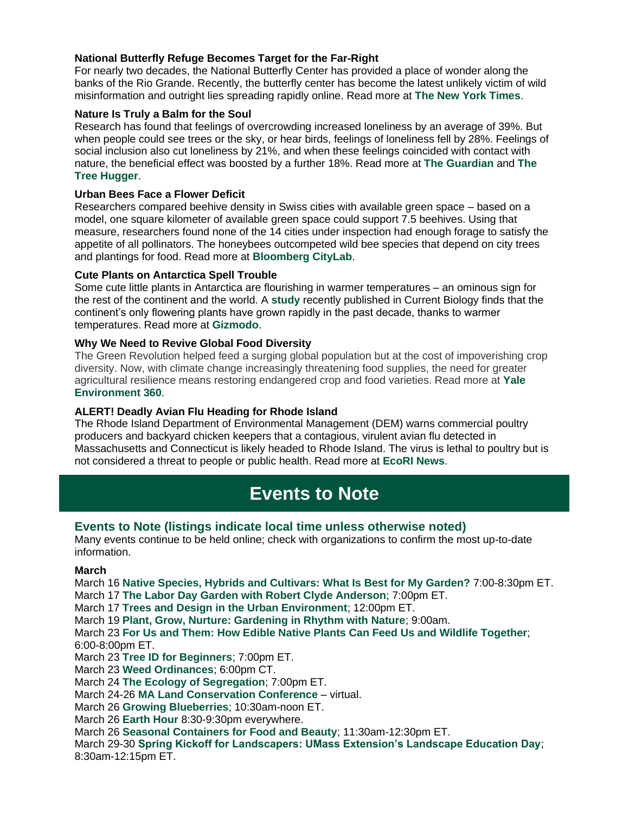### **National Butterfly Refuge Becomes Target for the Far-Right**

For nearly two decades, the National Butterfly Center has provided a place of wonder along the banks of the Rio Grande. Recently, the butterfly center has become the latest unlikely victim of wild misinformation and outright lies spreading rapidly online. Read more at **[The New York Times](https://r20.rs6.net/tn.jsp?f=001Pv0MPfFvU5iex5Uc03TLApY-hFi1AnWJsIloZAF9seCVqL0v-dW1hti0qFQTbPINlznnj_e2k8KqorVlHaM3lhmtht8bzSYl4bLWDHmLtzIsGaJolNvfiVoR8Pe5j_hCY9InA5an-V7ohh2sWo8E8KCN1Ejzz1-IADyfYemRo2FPQ9oyEB8ygQEF6FEn_O3ynks-2ndCxeuSldGdGuBlOw==&c=AoKnR7bkG71gFbjiSkooKwSgDsmMenYcyb6ttTpJ_JTk9AkJ8qdlfA==&ch=szsaDi2JhSisZK2phfnYZ9hF7byqzVPB4iNnchNqJDsGK1Tdc3Eb1g==)**.

#### **Nature Is Truly a Balm for the Soul**

Research has found that feelings of overcrowding increased loneliness by an average of 39%. But when people could see trees or the sky, or hear birds, feelings of loneliness fell by 28%. Feelings of social inclusion also cut loneliness by 21%, and when these feelings coincided with contact with nature, the beneficial effect was boosted by a further 18%. Read more at **[The Guardian](https://r20.rs6.net/tn.jsp?f=001Pv0MPfFvU5iex5Uc03TLApY-hFi1AnWJsIloZAF9seCVqL0v-dW1hti0qFQTbPIN2QizGfLEjlOrNO4e-yh2EMphw1fwo1DfBTdO4aviR0bqMNvJ7ciqqw3VPgb4ZaTjxpLjgRhfczMjhLymIa1T_XLRRPDisNISX4O4HIADEsnDNkUI_xV4xtF0DBKlyb4kVwXESyGXiCD9t_edd2ZYEijHqNxsJgitOnghPPV1VQzz1aWIcrKo_TEEuPMgI8b601Uw6ZDtW2dNF3r0VpbCOA==&c=AoKnR7bkG71gFbjiSkooKwSgDsmMenYcyb6ttTpJ_JTk9AkJ8qdlfA==&ch=szsaDi2JhSisZK2phfnYZ9hF7byqzVPB4iNnchNqJDsGK1Tdc3Eb1g==)** and **[The](https://r20.rs6.net/tn.jsp?f=001Pv0MPfFvU5iex5Uc03TLApY-hFi1AnWJsIloZAF9seCVqL0v-dW1hti0qFQTbPINgW3yS_FRz_eG7Wy8iWa7bNKTg19qW0jM_0tcXffPK7_OpN-6ytErkaqFx8c8KM2Ppj-EC09dDaVcuv5ab2HauW4_yM7VbaR-TpCpF3R2V8JyOHh4tRGi-mVDlqQHYXCBlVkCetxLkMcbik5JvABDVpPmPvOu9mkn&c=AoKnR7bkG71gFbjiSkooKwSgDsmMenYcyb6ttTpJ_JTk9AkJ8qdlfA==&ch=szsaDi2JhSisZK2phfnYZ9hF7byqzVPB4iNnchNqJDsGK1Tdc3Eb1g==)  [Tree Hugger](https://r20.rs6.net/tn.jsp?f=001Pv0MPfFvU5iex5Uc03TLApY-hFi1AnWJsIloZAF9seCVqL0v-dW1hti0qFQTbPINgW3yS_FRz_eG7Wy8iWa7bNKTg19qW0jM_0tcXffPK7_OpN-6ytErkaqFx8c8KM2Ppj-EC09dDaVcuv5ab2HauW4_yM7VbaR-TpCpF3R2V8JyOHh4tRGi-mVDlqQHYXCBlVkCetxLkMcbik5JvABDVpPmPvOu9mkn&c=AoKnR7bkG71gFbjiSkooKwSgDsmMenYcyb6ttTpJ_JTk9AkJ8qdlfA==&ch=szsaDi2JhSisZK2phfnYZ9hF7byqzVPB4iNnchNqJDsGK1Tdc3Eb1g==)**.

#### **Urban Bees Face a Flower Deficit**

Researchers compared beehive density in Swiss cities with available green space – based on a model, one square kilometer of available green space could support 7.5 beehives. Using that measure, researchers found none of the 14 cities under inspection had enough forage to satisfy the appetite of all pollinators. The honeybees outcompeted wild bee species that depend on city trees and plantings for food. Read more at **[Bloomberg CityLab](https://r20.rs6.net/tn.jsp?f=001Pv0MPfFvU5iex5Uc03TLApY-hFi1AnWJsIloZAF9seCVqL0v-dW1hti0qFQTbPINF5rrOrkrOuDAaUjFOBx7Gi9NzQN29LyOlRNOLbkeznvNjKqejy6hq6XyMSDZT7cgZnrSAOqI2LYp4T7F3r9PwxIzMjEbOQiAMKK7mXsf77ckHeDdDb2zIMUaVlCQs9XSshyPPdk-STteHViVJpHGQfXwvOLG1knsyoGqcBNBP5OsbEYjXs-YtQJjhtzY4A17E1HS7kgKqwY=&c=AoKnR7bkG71gFbjiSkooKwSgDsmMenYcyb6ttTpJ_JTk9AkJ8qdlfA==&ch=szsaDi2JhSisZK2phfnYZ9hF7byqzVPB4iNnchNqJDsGK1Tdc3Eb1g==)**.

#### **Cute Plants on Antarctica Spell Trouble**

Some cute little plants in Antarctica are flourishing in warmer temperatures – an ominous sign for the rest of the continent and the world. A **[study](https://r20.rs6.net/tn.jsp?f=001Pv0MPfFvU5iex5Uc03TLApY-hFi1AnWJsIloZAF9seCVqL0v-dW1hti0qFQTbPINXzcK3yeTCB6_60mOEBJCFpfawjSNdrq-L9s5TIK7FiTyT8KDjQ8r_Nms7YBQMHtGsijdPVdH-A1lMbW8NdvRuhKPtmsjjHrQ6J-rigpi1NOKDKCjsMI2lE1bz_ah8NiDqCxZhx66X6XjiRGt4l87SrSc_rT3Kz7XT6liDN0YrtA=&c=AoKnR7bkG71gFbjiSkooKwSgDsmMenYcyb6ttTpJ_JTk9AkJ8qdlfA==&ch=szsaDi2JhSisZK2phfnYZ9hF7byqzVPB4iNnchNqJDsGK1Tdc3Eb1g==)** recently published in Current Biology finds that the continent's only flowering plants have grown rapidly in the past decade, thanks to warmer temperatures. Read more at **[Gizmodo](https://r20.rs6.net/tn.jsp?f=001Pv0MPfFvU5iex5Uc03TLApY-hFi1AnWJsIloZAF9seCVqL0v-dW1hti0qFQTbPINJKBbUFpxWRpcwp3cc8z__9_1BVeyG7zHNnkRWsABGxEe_Ut4agIs24qqcmdhTV5oEhK3ImHFFAl_iAEl2-THhwNlJFGiIqAj68jBOdZGdm4XWEz0a2fM9XW6EnWOhX5p5tm1RNat85-7oWMA8THVLg==&c=AoKnR7bkG71gFbjiSkooKwSgDsmMenYcyb6ttTpJ_JTk9AkJ8qdlfA==&ch=szsaDi2JhSisZK2phfnYZ9hF7byqzVPB4iNnchNqJDsGK1Tdc3Eb1g==)**.

#### **Why We Need to Revive Global Food Diversity**

The Green Revolution helped feed a surging global population but at the cost of impoverishing crop diversity. Now, with climate change increasingly threatening food supplies, the need for greater agricultural resilience means restoring endangered crop and food varieties. Read more at **[Yale](https://r20.rs6.net/tn.jsp?f=001Pv0MPfFvU5iex5Uc03TLApY-hFi1AnWJsIloZAF9seCVqL0v-dW1hti0qFQTbPINGmm4CKu2ylHUNw_mERtroYwT3ppsSAixkq53hqkPRF8-T_7gFdqX_7-_ijjzZeAwBRPKZknbK1v7IzFeV_RZySBe65CDdOA3VgLS_SMSrbmzzVNZE44KSRZMnEZ_LrTYEcODsxDd4KsRiuxc_RCwF3b3674r4kBl50OWOaCCiZc=&c=AoKnR7bkG71gFbjiSkooKwSgDsmMenYcyb6ttTpJ_JTk9AkJ8qdlfA==&ch=szsaDi2JhSisZK2phfnYZ9hF7byqzVPB4iNnchNqJDsGK1Tdc3Eb1g==)  [Environment 360](https://r20.rs6.net/tn.jsp?f=001Pv0MPfFvU5iex5Uc03TLApY-hFi1AnWJsIloZAF9seCVqL0v-dW1hti0qFQTbPINGmm4CKu2ylHUNw_mERtroYwT3ppsSAixkq53hqkPRF8-T_7gFdqX_7-_ijjzZeAwBRPKZknbK1v7IzFeV_RZySBe65CDdOA3VgLS_SMSrbmzzVNZE44KSRZMnEZ_LrTYEcODsxDd4KsRiuxc_RCwF3b3674r4kBl50OWOaCCiZc=&c=AoKnR7bkG71gFbjiSkooKwSgDsmMenYcyb6ttTpJ_JTk9AkJ8qdlfA==&ch=szsaDi2JhSisZK2phfnYZ9hF7byqzVPB4iNnchNqJDsGK1Tdc3Eb1g==)**.

#### **ALERT! Deadly Avian Flu Heading for Rhode Island**

The Rhode Island Department of Environmental Management (DEM) warns commercial poultry producers and backyard chicken keepers that a contagious, virulent avian flu detected in Massachusetts and Connecticut is likely headed to Rhode Island. The virus is lethal to poultry but is not considered a threat to people or public health. Read more at **[EcoRI News](https://r20.rs6.net/tn.jsp?f=001Pv0MPfFvU5iex5Uc03TLApY-hFi1AnWJsIloZAF9seCVqL0v-dW1hti0qFQTbPINdUbOihdai6dbADN5zQVy9VntiN_rhamNJ-UM9lBsMId0G5WkQhxS9DfDwc8mqX_OqItzWRhrZbuN70z9KQ_L-3s_ACojS5QNLsVsHWQmy9XH8sWEluLAgcQTSDmnN39Kx50xNq8fmls=&c=AoKnR7bkG71gFbjiSkooKwSgDsmMenYcyb6ttTpJ_JTk9AkJ8qdlfA==&ch=szsaDi2JhSisZK2phfnYZ9hF7byqzVPB4iNnchNqJDsGK1Tdc3Eb1g==)**.

# **Events to Note**

#### **Events to Note (listings indicate local time unless otherwise noted)**

Many events continue to be held online; check with organizations to confirm the most up-to-date information.

### **March**

March 16 **[Native Species, Hybrids and Cultivars: What Is Best for My Garden?](https://r20.rs6.net/tn.jsp?f=001Pv0MPfFvU5iex5Uc03TLApY-hFi1AnWJsIloZAF9seCVqL0v-dW1hti0qFQTbPINYCGexuKC9hWLDYx6MjcscmUAR6hk8TqxAU1yqfxjcKxIkfcHnYZgZkP3LSJwHYO2IT1ykNA9OgdRwS7Kj6NRW9sTfvt-ldlNCALX6FljoecW5JR3jiuNQw==&c=AoKnR7bkG71gFbjiSkooKwSgDsmMenYcyb6ttTpJ_JTk9AkJ8qdlfA==&ch=szsaDi2JhSisZK2phfnYZ9hF7byqzVPB4iNnchNqJDsGK1Tdc3Eb1g==)** 7:00-8:30pm ET. March 17 **[The Labor Day Garden with Robert Clyde Anderson](https://r20.rs6.net/tn.jsp?f=001Pv0MPfFvU5iex5Uc03TLApY-hFi1AnWJsIloZAF9seCVqL0v-dW1hti0qFQTbPINooA_y5g95Y9pekCD0PVrhqnzurGG4JEbdc1GegpuWCiwnTmM92cdM2oHLyqyUzzsZAcN8T5m4VIhxa6tBbM2tZn2u5x51fo01p_cEG-jGz_bZPIJB3EKvqlPsU3fZO7OwWI7Pe0ZNpYDtSwOIra01onlZrrx8ScD&c=AoKnR7bkG71gFbjiSkooKwSgDsmMenYcyb6ttTpJ_JTk9AkJ8qdlfA==&ch=szsaDi2JhSisZK2phfnYZ9hF7byqzVPB4iNnchNqJDsGK1Tdc3Eb1g==)**; 7:00pm ET. March 17 **Trees and [Design in the Urban Environment](https://r20.rs6.net/tn.jsp?f=001Pv0MPfFvU5iex5Uc03TLApY-hFi1AnWJsIloZAF9seCVqL0v-dW1hpJLBjBKc3UV6uPdkazCgaPPNfAoatXQF8jLl5y5n0R5aVUOihTLlbHRXT11MWmbJLUmpyqxRKLuRJhg_SvY1D8CFc2IJ9Z4XfFmjWPNT7ct&c=AoKnR7bkG71gFbjiSkooKwSgDsmMenYcyb6ttTpJ_JTk9AkJ8qdlfA==&ch=szsaDi2JhSisZK2phfnYZ9hF7byqzVPB4iNnchNqJDsGK1Tdc3Eb1g==)**; 12:00pm ET. March 19 **[Plant, Grow, Nurture: Gardening in Rhythm with Nature](https://r20.rs6.net/tn.jsp?f=001Pv0MPfFvU5iex5Uc03TLApY-hFi1AnWJsIloZAF9seCVqL0v-dW1hkLAO9bmzwTBhRm8lDm19Lub41ISrbz_xmKD4pro_rh634KMXUTSYOq59V96n6kryHE09Qy_RKoQpHJ7aAO4AlIia_UnwNFCN3geXl6PShy2veXPdbrk2asIAqTqOPn0w0gCKXmmB-pdz-JWU90kLGQ=&c=AoKnR7bkG71gFbjiSkooKwSgDsmMenYcyb6ttTpJ_JTk9AkJ8qdlfA==&ch=szsaDi2JhSisZK2phfnYZ9hF7byqzVPB4iNnchNqJDsGK1Tdc3Eb1g==)**; 9:00am. March 23 **[For Us and Them: How Edible Native Plants Can Feed Us and Wildlife Together](https://r20.rs6.net/tn.jsp?f=001Pv0MPfFvU5iex5Uc03TLApY-hFi1AnWJsIloZAF9seCVqL0v-dW1hoC4zmdxLo6W2h31W95WSckH4y8iJMlOXVxR0hARabX2usXQ6b4DbBDS9Oc9QbGY91kmvEvbk7ucJaAbxNNKuBALtE1Jc6sbCiM27rFqP8iq6vFs1x4cEoIk2i7MfuC41wvNZ9svmLKAM-Ej9ECduEwFKLLuFS4f-ssSBkqYP6893Yzssf_bFjISbVoh8YkE0HhB-t5_dqeE0ZkTCsHAKGYrOtmZzRmbLg==&c=AoKnR7bkG71gFbjiSkooKwSgDsmMenYcyb6ttTpJ_JTk9AkJ8qdlfA==&ch=szsaDi2JhSisZK2phfnYZ9hF7byqzVPB4iNnchNqJDsGK1Tdc3Eb1g==)**; 6:00-8:00pm ET. March 23 **[Tree ID for Beginners](https://r20.rs6.net/tn.jsp?f=001Pv0MPfFvU5iex5Uc03TLApY-hFi1AnWJsIloZAF9seCVqL0v-dW1hti0qFQTbPINtMmd6K6NiB95M9T0_iTJuDqjqMv3KEfo6oqyoPfh0g3O41_A3owjj_Mf4k0NWNVmrXZl9pk1HbH4p4bTGR_rZq6qeIyOPFRW3ezk8yyc3aElBP3oyp43R0GMJgZBF43fnyyv3d3J8kkcohiifyxkhQ_bQmmdrGfxU8TwtbmkucNGGht1nRkuve4PvkfYOLr13Gg9e_OtpNmXrl9JSl54GaNfOBRf0Df69D8ltHhbfzIIfU-NkrwxCe3hS2xVDCTS4jBo4An6jTVi1_n7Xi6sxu-vumvsuJHpN4CCXJwQjYR5TXo3midxN7zZJNs2TAmQa11tWfnhwh0WFRVoHBQUMa9CiLMkUK4dcWF0d-36Xr3eM56ehqkAF7xwW8e29mw-1-58w38Iee9GSU9JY_IwNpmhol_f6-o3_MyH_qSzvEOMckcKQ5OEoA==&c=AoKnR7bkG71gFbjiSkooKwSgDsmMenYcyb6ttTpJ_JTk9AkJ8qdlfA==&ch=szsaDi2JhSisZK2phfnYZ9hF7byqzVPB4iNnchNqJDsGK1Tdc3Eb1g==)**; 7:00pm ET. March 23 **[Weed Ordinances](https://r20.rs6.net/tn.jsp?f=001Pv0MPfFvU5iex5Uc03TLApY-hFi1AnWJsIloZAF9seCVqL0v-dW1hti0qFQTbPINiy70fImpgIxXQVwVKpMs5bD7bD4x2-2MvdI51kdAx1fS4uGJg9cNM5Uu0SVGoTu5qRzVrulXGwsEd-srVDTP46MWPHB7f7kf3k3rNSFzh1OFVt7HH_PlQA==&c=AoKnR7bkG71gFbjiSkooKwSgDsmMenYcyb6ttTpJ_JTk9AkJ8qdlfA==&ch=szsaDi2JhSisZK2phfnYZ9hF7byqzVPB4iNnchNqJDsGK1Tdc3Eb1g==)**; 6:00pm CT. March 24 **[The Ecology of Segregation](https://r20.rs6.net/tn.jsp?f=001Pv0MPfFvU5iex5Uc03TLApY-hFi1AnWJsIloZAF9seCVqL0v-dW1hti0qFQTbPINI3r7iFhqJCj8bZ9OwPaKIjvbhVHy_RSZnlyHhKl_Kd_uucMzb1gqJaJ4itLcOR8hDGQB4-EXAFHxCHQO042CR959Anmu2_D2VFo7cw13YtqVZnNj55O34m42UixbFE5Z79CIauLd1cqTr0s5FtiXHsk3lZBtj7TRuVZiqDLvyh0TKAFegGIcXfd5UeSIS0hdUGDTLvJUzLXfgkNWT9ej7Mm_kULlBZ2FWPHnXibw9CBxGG5S__JNx1XkEiELhJuUf8CRwUOudTn9VjX1V8zAbNz41Nx_gtsglXYzH_rThM9EDXi5P1PUD7UaNt7hJZI_IboYD2XiZI_fM6Cc2yMogUliPgEN7Y9BTz5w3JxJs9gUiZDjoFvNkZpeJz9C-Xa3xzl1M54ommwx9P3OnvBR_j0aUbmviXzQk6lZGCt6kww=&c=AoKnR7bkG71gFbjiSkooKwSgDsmMenYcyb6ttTpJ_JTk9AkJ8qdlfA==&ch=szsaDi2JhSisZK2phfnYZ9hF7byqzVPB4iNnchNqJDsGK1Tdc3Eb1g==)**; 7:00pm ET. March 24-26 **[MA Land Conservation Conference](https://r20.rs6.net/tn.jsp?f=001Pv0MPfFvU5iex5Uc03TLApY-hFi1AnWJsIloZAF9seCVqL0v-dW1hti0qFQTbPINd9363KJz5Uh6GWgN12fB2MCvQlPqZu9QoU5G1YKAtVvS8K24_D076QAg1pkckELAx8kOdR-4-lo86Ah7kTosqjNfu4rmdJceh7c7i0qD__ibkMJTrNnq7W0hyWJAXiBvqZ5w3AVkA2DPyaqrsFJaf0EfPjIVIWto5Nqfa2PYz8ArNlaYKiGAGQ==&c=AoKnR7bkG71gFbjiSkooKwSgDsmMenYcyb6ttTpJ_JTk9AkJ8qdlfA==&ch=szsaDi2JhSisZK2phfnYZ9hF7byqzVPB4iNnchNqJDsGK1Tdc3Eb1g==)** – virtual. March 26 **[Growing Blueberries](https://r20.rs6.net/tn.jsp?f=001Pv0MPfFvU5iex5Uc03TLApY-hFi1AnWJsIloZAF9seCVqL0v-dW1hqVTr3qBps9Hl6e1R0FuWdLHaLDYcBi0ZsPZi7eWj0mfPjM4SzTsdCAAErWIl8W0OprJeerwDWaJwK09XXrp8lbf7Xu61JbYKZKn60pDtgbcI0dzXGJ14mmYqTaAeFclP49jdcAjap4U09RAaRC42ls=&c=AoKnR7bkG71gFbjiSkooKwSgDsmMenYcyb6ttTpJ_JTk9AkJ8qdlfA==&ch=szsaDi2JhSisZK2phfnYZ9hF7byqzVPB4iNnchNqJDsGK1Tdc3Eb1g==)**; 10:30am-noon ET. March 26 **[Earth Hour](https://r20.rs6.net/tn.jsp?f=001Pv0MPfFvU5iex5Uc03TLApY-hFi1AnWJsIloZAF9seCVqL0v-dW1hti0qFQTbPINQ-IvvHd5n4E8YDMFQBApbH2ejy1NGJXOlJyYZH5kP4twHU6i3Vc9A0ZRfNxtwqSzPfg4NCCwtkjTnHVXNMUidQ==&c=AoKnR7bkG71gFbjiSkooKwSgDsmMenYcyb6ttTpJ_JTk9AkJ8qdlfA==&ch=szsaDi2JhSisZK2phfnYZ9hF7byqzVPB4iNnchNqJDsGK1Tdc3Eb1g==)** 8:30-9:30pm everywhere. March 26 **[Seasonal Containers for Food and Beauty](https://r20.rs6.net/tn.jsp?f=001Pv0MPfFvU5iex5Uc03TLApY-hFi1AnWJsIloZAF9seCVqL0v-dW1hti0qFQTbPINwlR25SUkS5Ax_DvL4qeCraoq0QGo0hY87L8cSUkYWUeSrWQqju1_rgAhYLpJesSRzi_hRikzgAKZyVjrAx8v1FDVbVzaZlYjE4pQ1Ksaol_aTKwEK8fUch66mle1d0beNb7iya34amLm4t2KVF2ycfhBsDDWAaeAe806be12mK06fMgVoqc4U12Sz9RFmGk_GAYZLPYj6u9RnGjj2rwIhKRBPCeNXL3Yk-dCu5XCjs2-t0r3S42Wtb2Xr47WnP8T0fdpu4YFlQZrJYBHeW1i673MmWLr3S1c_Vgl0FJNoUZoSxKVRHUTzxKdh7yWUt4N&c=AoKnR7bkG71gFbjiSkooKwSgDsmMenYcyb6ttTpJ_JTk9AkJ8qdlfA==&ch=szsaDi2JhSisZK2phfnYZ9hF7byqzVPB4iNnchNqJDsGK1Tdc3Eb1g==)**; 11:30am-12:30pm ET. March 29-30 **[Spring Kickoff for Landscapers: UMass Extension's Landscape Education Day](https://r20.rs6.net/tn.jsp?f=001Pv0MPfFvU5iex5Uc03TLApY-hFi1AnWJsIloZAF9seCVqL0v-dW1hti0qFQTbPINLNqZCmxSFf_RK_7BCRPi6HXv-2KFGb2gzuKIOBtKz8FoqD2v6XkNPKZOvF9myBJU-unh2mq1EGdaiC0yIXWWYXUPCdm2H0f1HP0QthTZAqeTjWmTytRjCt41PYKtuetYQiGez0hHZG3xJPl-z9agZZv28nifjux6PQH5dWXsDK_jD_MNCIQd-LqjezsE0CU4h55cR7PgVpg=&c=AoKnR7bkG71gFbjiSkooKwSgDsmMenYcyb6ttTpJ_JTk9AkJ8qdlfA==&ch=szsaDi2JhSisZK2phfnYZ9hF7byqzVPB4iNnchNqJDsGK1Tdc3Eb1g==)**;

8:30am-12:15pm ET.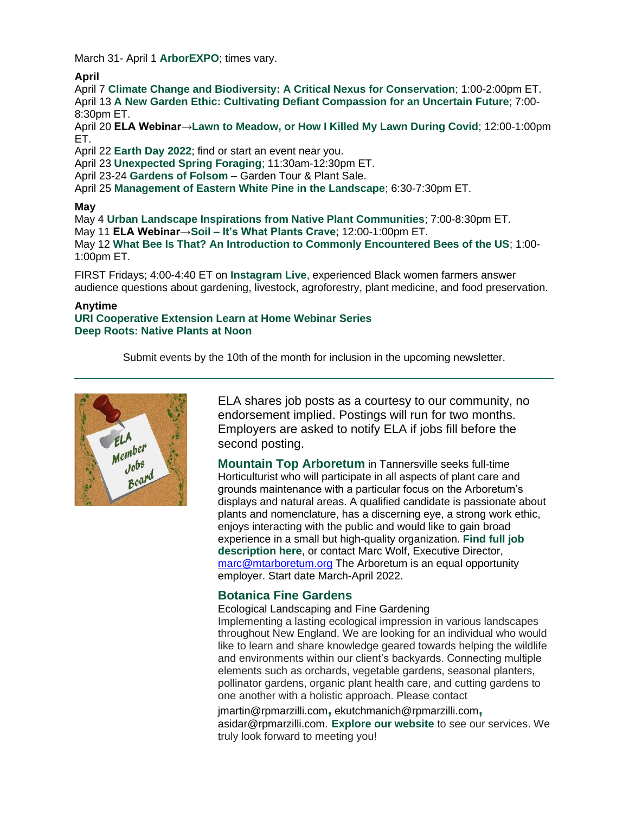March 31- April 1 **[ArborEXPO](https://r20.rs6.net/tn.jsp?f=001Pv0MPfFvU5iex5Uc03TLApY-hFi1AnWJsIloZAF9seCVqL0v-dW1hoC4zmdxLo6WKThORe_psOr6trf6N4pRDsx2hw8977HQYMtIn8gayExpaqWZZXXfhRKrVHQ-Ep5EhpkWM2SkWUU=&c=AoKnR7bkG71gFbjiSkooKwSgDsmMenYcyb6ttTpJ_JTk9AkJ8qdlfA==&ch=szsaDi2JhSisZK2phfnYZ9hF7byqzVPB4iNnchNqJDsGK1Tdc3Eb1g==)**; times vary.

#### **April**

April 7 **[Climate Change and Biodiversity: A Critical Nexus for Conservation](https://r20.rs6.net/tn.jsp?f=001Pv0MPfFvU5iex5Uc03TLApY-hFi1AnWJsIloZAF9seCVqL0v-dW1hti0qFQTbPINRz5-ELCC2bQWyO1bA4cBcih9k_xgv8G3qTkbyqEYM-i6DQtYCl4YHMpQgwMF3Cmc9GkzmwFpstuTrVJm-WNf7Hb9qScfnpWRYwZ1TmG83O4rSWQETtxnKnDghUoYXQ8smXKK-0IzLxW-qSam_iQUoLwgRom8OZrROTr7olbhyIQSD9E_YoRzuw==&c=AoKnR7bkG71gFbjiSkooKwSgDsmMenYcyb6ttTpJ_JTk9AkJ8qdlfA==&ch=szsaDi2JhSisZK2phfnYZ9hF7byqzVPB4iNnchNqJDsGK1Tdc3Eb1g==)**; 1:00-2:00pm ET. April 13 **[A New Garden Ethic: Cultivating Defiant Compassion for an Uncertain Future](https://r20.rs6.net/tn.jsp?f=001Pv0MPfFvU5iex5Uc03TLApY-hFi1AnWJsIloZAF9seCVqL0v-dW1hti0qFQTbPINYCGexuKC9hWLDYx6MjcscmUAR6hk8TqxAU1yqfxjcKxIkfcHnYZgZkP3LSJwHYO2IT1ykNA9OgdRwS7Kj6NRW9sTfvt-ldlNCALX6FljoecW5JR3jiuNQw==&c=AoKnR7bkG71gFbjiSkooKwSgDsmMenYcyb6ttTpJ_JTk9AkJ8qdlfA==&ch=szsaDi2JhSisZK2phfnYZ9hF7byqzVPB4iNnchNqJDsGK1Tdc3Eb1g==)**; 7:00- 8:30pm ET.

April 20 **ELA Webinar[→Lawn to Meadow, or How I Killed My Lawn During Covid](https://r20.rs6.net/tn.jsp?f=001Pv0MPfFvU5iex5Uc03TLApY-hFi1AnWJsIloZAF9seCVqL0v-dW1hti0qFQTbPIN6rRlTCu6c8tCXMq0I3Gk9RGX5VSRL06vhgEFdxyXUZq2uALVQkv2wJpcP0Ip4Mxy2WYzKbEiUNThoeLS2TtYVcePZ13WX76eKi_dDafooV4EhbJXJII_sn2F_CwqEoFp&c=AoKnR7bkG71gFbjiSkooKwSgDsmMenYcyb6ttTpJ_JTk9AkJ8qdlfA==&ch=szsaDi2JhSisZK2phfnYZ9hF7byqzVPB4iNnchNqJDsGK1Tdc3Eb1g==)**; 12:00-1:00pm ET.

April 22 **[Earth Day 2022](https://r20.rs6.net/tn.jsp?f=001Pv0MPfFvU5iex5Uc03TLApY-hFi1AnWJsIloZAF9seCVqL0v-dW1hti0qFQTbPINiUWh5_zHzqOn9HBMqNW4Sad0jV5DbTTIbGHSTWMsw__Ez8LXzah7WYGiVyKP13ioUnBHR-bP43TXIEMiKwPyw81ZRc5qp7N0eO6PdFRC7XQ=&c=AoKnR7bkG71gFbjiSkooKwSgDsmMenYcyb6ttTpJ_JTk9AkJ8qdlfA==&ch=szsaDi2JhSisZK2phfnYZ9hF7byqzVPB4iNnchNqJDsGK1Tdc3Eb1g==)**; find or start an event near you.

April 23 **[Unexpected Spring Foraging](https://r20.rs6.net/tn.jsp?f=001Pv0MPfFvU5iex5Uc03TLApY-hFi1AnWJsIloZAF9seCVqL0v-dW1hti0qFQTbPINPYlMVfZe63U2vaiaVbC7_YnjOmqFkshjB7y_mnaw54QqkBQy5XJh7TYqEGyoeK7MmkHNiirAGz-rBquX6z47wJeGWujtPDHHa8zx05S_YXcSCVaFY5nxnbwP61MH4v4TmSTFcrkDYNrM9Wth0EZwLe3LuWZvfltvVrzbdFADUxuRQu38jfp4ltStgiYkobNnSlBEoI9YDkO4rpevu62iFgRhfVsmoY6-BpHjAljQf6CAcp2Eu6zbn727c7BU9RfqY3B-bsJ2eEnkRZi3twxntWDs_i5ACqn4OFmr-FLq3tJTMftTphYxOv_LQteDHpNT&c=AoKnR7bkG71gFbjiSkooKwSgDsmMenYcyb6ttTpJ_JTk9AkJ8qdlfA==&ch=szsaDi2JhSisZK2phfnYZ9hF7byqzVPB4iNnchNqJDsGK1Tdc3Eb1g==)**; 11:30am-12:30pm ET.

April 23-24 **[Gardens of Folsom](https://r20.rs6.net/tn.jsp?f=001Pv0MPfFvU5iex5Uc03TLApY-hFi1AnWJsIloZAF9seCVqL0v-dW1hti0qFQTbPINCEZChTsjCX4XFlBwZChw3vfIXvV-PueOsVfQtx2NgnT5Vs18FVhAMbs1njr012BJ3YA5dOiIUQ6s3i1yorYEOA==&c=AoKnR7bkG71gFbjiSkooKwSgDsmMenYcyb6ttTpJ_JTk9AkJ8qdlfA==&ch=szsaDi2JhSisZK2phfnYZ9hF7byqzVPB4iNnchNqJDsGK1Tdc3Eb1g==)** – Garden Tour & Plant Sale.

April 25 **[Management of Eastern White Pine in the Landscape](https://r20.rs6.net/tn.jsp?f=001Pv0MPfFvU5iex5Uc03TLApY-hFi1AnWJsIloZAF9seCVqL0v-dW1hti0qFQTbPINVVK9cstYmdcklgq-aVj3DLy82KJIsEcPj1PpwfJWQN1zOhUxxTheiLgyBCZqOZH2j9cy6P7LnKNCMfv24BEBJeYT-gEbOyak1sg0jv175Wi3GXUR60X86uKegdEigZqaR4coPdFN_zcAn4vaQvwJfAHHaR0_V3AGchQUuCEJ2oBNCOc2A_uS65W4buX3YjTiIPiNurLkcCxwdfnmJPVSuQ==&c=AoKnR7bkG71gFbjiSkooKwSgDsmMenYcyb6ttTpJ_JTk9AkJ8qdlfA==&ch=szsaDi2JhSisZK2phfnYZ9hF7byqzVPB4iNnchNqJDsGK1Tdc3Eb1g==)**; 6:30-7:30pm ET.

#### **May**

May 4 **[Urban Landscape Inspirations from Native Plant Communities](https://r20.rs6.net/tn.jsp?f=001Pv0MPfFvU5iex5Uc03TLApY-hFi1AnWJsIloZAF9seCVqL0v-dW1hti0qFQTbPINYCGexuKC9hWLDYx6MjcscmUAR6hk8TqxAU1yqfxjcKxIkfcHnYZgZkP3LSJwHYO2IT1ykNA9OgdRwS7Kj6NRW9sTfvt-ldlNCALX6FljoecW5JR3jiuNQw==&c=AoKnR7bkG71gFbjiSkooKwSgDsmMenYcyb6ttTpJ_JTk9AkJ8qdlfA==&ch=szsaDi2JhSisZK2phfnYZ9hF7byqzVPB4iNnchNqJDsGK1Tdc3Eb1g==)**; 7:00-8:30pm ET. May 11 **ELA Webinar→Soil – [It's What Plants Crave](https://r20.rs6.net/tn.jsp?f=001Pv0MPfFvU5iex5Uc03TLApY-hFi1AnWJsIloZAF9seCVqL0v-dW1hti0qFQTbPIN9busPjVS9jyrzkj-uDgvgOGx_GxNt4EtSyIyx3_wtjn0YUXXkF9pwkab-Y3TQWFKqICHh4sOm5odio6cA1KifL0bH8cvqRSzYGIWWMKeQLJ8t6cR0C15qbZ5ZhT3-GPHCapQBv_aeEc=&c=AoKnR7bkG71gFbjiSkooKwSgDsmMenYcyb6ttTpJ_JTk9AkJ8qdlfA==&ch=szsaDi2JhSisZK2phfnYZ9hF7byqzVPB4iNnchNqJDsGK1Tdc3Eb1g==)**; 12:00-1:00pm ET. May 12 **[What Bee Is That? An Introduction to Commonly Encountered Bees of the US](https://r20.rs6.net/tn.jsp?f=001Pv0MPfFvU5iex5Uc03TLApY-hFi1AnWJsIloZAF9seCVqL0v-dW1hti0qFQTbPINAtlILZ8B_-G9Mla0cfuaK_FgbGcC9NF5D8iDPIqbiTBp8E3EnKz6b5tsVrHNvXKst4k_RXE6c7ohJKSmqr5YAb8HgkW7aAUywat7Q9F6g0G4eAH-vJL1NXNff_En14Ay-auycZRHIzVeyBqsNqEz9qTWp6uroAx0IdRpV7mU43KeVAzR98naUQ==&c=AoKnR7bkG71gFbjiSkooKwSgDsmMenYcyb6ttTpJ_JTk9AkJ8qdlfA==&ch=szsaDi2JhSisZK2phfnYZ9hF7byqzVPB4iNnchNqJDsGK1Tdc3Eb1g==)**; 1:00- 1:00pm ET.

FIRST Fridays; 4:00-4:40 ET on **[Instagram Live](https://r20.rs6.net/tn.jsp?f=001Pv0MPfFvU5iex5Uc03TLApY-hFi1AnWJsIloZAF9seCVqL0v-dW1hti0qFQTbPINn3Gx4G3X7zd7M98nBtt0A7JlqGYu2ffW0ReDWIHQNQ0brGruDPuvC0Sw3dWxFH2E_u9Dy9n-JeFrjzdpw8zJRVWo4qi_i4KJIQe9PD3f_gQ=&c=AoKnR7bkG71gFbjiSkooKwSgDsmMenYcyb6ttTpJ_JTk9AkJ8qdlfA==&ch=szsaDi2JhSisZK2phfnYZ9hF7byqzVPB4iNnchNqJDsGK1Tdc3Eb1g==)**, experienced Black women farmers answer audience questions about gardening, livestock, agroforestry, plant medicine, and food preservation.

#### **Anytime**

#### **[URI Cooperative Extension Learn at Home Webinar Series](https://r20.rs6.net/tn.jsp?f=001AFho08mAnEeBmz843iFWK8NKptjui6lRFEStwzlCyIpUGk5-t9o9e7r1DyUwwx1Zr9ncQo5XvcR251wOMS6rhvmkv80tJ_DW2CLG3eZid2f06skFVz0FEQYsW6y1_cJA4Z13vcSjJj0DTe9oidO8dFb-bsexlUvPweU9jEPfoVQ8_rAXBI0XaIfC51ZFSAYU5up4I7Gnk3AG6x6AWiBIyI4ezJ_2LuvvRSCHfRNyURTp0g-DgZ7Rbw==&c=FELuz_3rfOF6ckbIZGoXYyALx-ce3Pd95vX4qveq6z1wABV3wVGjDQ==&ch=uc69vArgMunqwA4qRtremhqjJJzC5bKqRJOhou9QRAZEkHUgBjD5RQ==) [Deep Roots: Native Plants at Noon](https://r20.rs6.net/tn.jsp?f=001Pv0MPfFvU5iex5Uc03TLApY-hFi1AnWJsIloZAF9seCVqL0v-dW1hhCBthE-hKd-wDPcIPNw2QSQkDHODV-loJEetLlQnP_llVRiGA0yxTiJuufFbpateROVXMPSFtCUvusHPxmqfKmkvb9MmeOYjoXiCUvdexUj&c=AoKnR7bkG71gFbjiSkooKwSgDsmMenYcyb6ttTpJ_JTk9AkJ8qdlfA==&ch=szsaDi2JhSisZK2phfnYZ9hF7byqzVPB4iNnchNqJDsGK1Tdc3Eb1g==)**

Submit events by the 10th of the month for inclusion in the upcoming newsletter.



ELA shares job posts as a courtesy to our community, no endorsement implied. Postings will run for two months. Employers are asked to notify ELA if jobs fill before the second posting.

**Mountain Top Arboretum** in Tannersville seeks full-time Horticulturist who will participate in all aspects of plant care and grounds maintenance with a particular focus on the Arboretum's displays and natural areas. A qualified candidate is passionate about plants and nomenclature, has a discerning eye, a strong work ethic, enjoys interacting with the public and would like to gain broad experience in a small but high-quality organization. **[Find full](https://r20.rs6.net/tn.jsp?f=001Pv0MPfFvU5iex5Uc03TLApY-hFi1AnWJsIloZAF9seCVqL0v-dW1hti0qFQTbPINPmLBC-NuDHEofQgLmfm7zcXvzwHNUzXowDGhacooReAuBGeh8L0taiXVj7ql5NrXkBLkw2tTZlHYGJi8pKN8c8U8bOZ9OEMJPxv31y0R2KdJOmwnOFzuqh8a_NU87PH8&c=AoKnR7bkG71gFbjiSkooKwSgDsmMenYcyb6ttTpJ_JTk9AkJ8qdlfA==&ch=szsaDi2JhSisZK2phfnYZ9hF7byqzVPB4iNnchNqJDsGK1Tdc3Eb1g==) job [description here](https://r20.rs6.net/tn.jsp?f=001Pv0MPfFvU5iex5Uc03TLApY-hFi1AnWJsIloZAF9seCVqL0v-dW1hti0qFQTbPINPmLBC-NuDHEofQgLmfm7zcXvzwHNUzXowDGhacooReAuBGeh8L0taiXVj7ql5NrXkBLkw2tTZlHYGJi8pKN8c8U8bOZ9OEMJPxv31y0R2KdJOmwnOFzuqh8a_NU87PH8&c=AoKnR7bkG71gFbjiSkooKwSgDsmMenYcyb6ttTpJ_JTk9AkJ8qdlfA==&ch=szsaDi2JhSisZK2phfnYZ9hF7byqzVPB4iNnchNqJDsGK1Tdc3Eb1g==)**, or contact Marc Wolf, Executive Director, [marc@mtarboretum.org](mailto:marc@mtarboretum.org) The Arboretum is an equal opportunity employer. Start date March-April 2022.

# **Botanica Fine Gardens**

#### Ecological Landscaping and Fine Gardening

Implementing a lasting ecological impression in various landscapes throughout New England. We are looking for an individual who would like to learn and share knowledge geared towards helping the wildlife and environments within our client's backyards. Connecting multiple elements such as orchards, vegetable gardens, seasonal planters, pollinator gardens, organic plant health care, and cutting gardens to one another with a holistic approach. Please contact

[jmartin@rpmarzilli.com](mailto:jmartin@rpmarzilli.com)**,** [ekutchmanich@rpmarzilli.com](mailto:ekutchmanich@rpmarzilli.com)**,** [asidar@rpmarzilli.com.](mailto:asidar@rpmarzilli.com) **[Explore our website](https://r20.rs6.net/tn.jsp?f=001Pv0MPfFvU5iex5Uc03TLApY-hFi1AnWJsIloZAF9seCVqL0v-dW1hti0qFQTbPIN7ltlLc258JSm2YIOi6LV2R-tCzZDRPyUQeF70JB0vpIqP_53Okkf8Q4ElKzZ2MRieEhShDqxXHaSsPliOYsxRYJ5vxgPpxPF&c=AoKnR7bkG71gFbjiSkooKwSgDsmMenYcyb6ttTpJ_JTk9AkJ8qdlfA==&ch=szsaDi2JhSisZK2phfnYZ9hF7byqzVPB4iNnchNqJDsGK1Tdc3Eb1g==)** to see our services. We truly look forward to meeting you!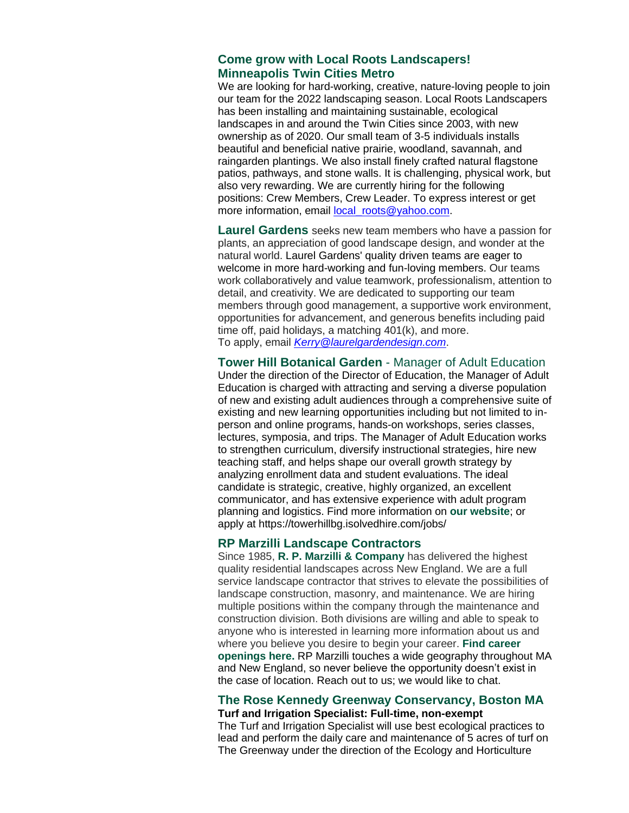### **[Come grow with Local Roots Landscapers!](https://r20.rs6.net/tn.jsp?f=001Pv0MPfFvU5iex5Uc03TLApY-hFi1AnWJsIloZAF9seCVqL0v-dW1hti0qFQTbPIN4FamFEloSzGyBX3b22b-5lJQEMrizxaatAU17sO1PxDOTwzxYCMTCe0S4Z_qQSrWXYv47l9NCn7TfWQ_DPpcZJ9IKlmixeO5&c=AoKnR7bkG71gFbjiSkooKwSgDsmMenYcyb6ttTpJ_JTk9AkJ8qdlfA==&ch=szsaDi2JhSisZK2phfnYZ9hF7byqzVPB4iNnchNqJDsGK1Tdc3Eb1g==)  Minneapolis Twin Cities Metro**

We are looking for hard-working, creative, nature-loving people to join our team for the 2022 landscaping season. Local Roots Landscapers has been installing and maintaining sustainable, ecological landscapes in and around the Twin Cities since 2003, with new ownership as of 2020. Our small team of 3-5 individuals installs beautiful and beneficial native prairie, woodland, savannah, and raingarden plantings. We also install finely crafted natural flagstone patios, pathways, and stone walls. It is challenging, physical work, but also very rewarding. We are currently hiring for the following positions: Crew Members, Crew Leader. To express interest or get more information, email local roots@yahoo.com.

**[Laurel Gardens](https://r20.rs6.net/tn.jsp?f=001Pv0MPfFvU5iex5Uc03TLApY-hFi1AnWJsIloZAF9seCVqL0v-dW1hti0qFQTbPINGEgPYOWjpPSbFfGBuyXPZuKjDaflPbRCqZPIU6XRppRCa5keUHv19WylJkEOSdAQzrnzAtd7322Gr6yccRJTssr5ljNntixj&c=AoKnR7bkG71gFbjiSkooKwSgDsmMenYcyb6ttTpJ_JTk9AkJ8qdlfA==&ch=szsaDi2JhSisZK2phfnYZ9hF7byqzVPB4iNnchNqJDsGK1Tdc3Eb1g==)** seeks new team members who have a passion for plants, an appreciation of good landscape design, and wonder at the natural world. Laurel Gardens' quality driven teams are eager to welcome in more hard-working and fun-loving members. Our teams work collaboratively and value teamwork, professionalism, attention to detail, and creativity. We are dedicated to supporting our team members through good management, a supportive work environment, opportunities for advancement, and generous benefits including paid time off, paid holidays, a matching 401(k), and more. To apply, email *[Kerry@laurelgardendesign.com](mailto:Kerry@laurelgardendesign.com)*.

**Tower Hill Botanical Garden** - Manager of Adult Education Under the direction of the Director of Education, the Manager of Adult Education is charged with attracting and serving a diverse population of new and existing adult audiences through a comprehensive suite of existing and new learning opportunities including but not limited to inperson and online programs, hands-on workshops, series classes, lectures, symposia, and trips. The Manager of Adult Education works to strengthen curriculum, diversify instructional strategies, hire new teaching staff, and helps shape our overall growth strategy by analyzing enrollment data and student evaluations. The ideal candidate is strategic, creative, highly organized, an excellent communicator, and has extensive experience with adult program planning and logistics. Find more information on **[our website](https://r20.rs6.net/tn.jsp?f=001Pv0MPfFvU5iex5Uc03TLApY-hFi1AnWJsIloZAF9seCVqL0v-dW1huZ1yIUpucnAC6tv9AyHmPXEFbJ076y0uK0AJm22h_RRPtQhlSe2HW6upax7qalnJAB1ozxoJ9VwuBWYP19Ly-FQ1fdjeLt1ZQ==&c=AoKnR7bkG71gFbjiSkooKwSgDsmMenYcyb6ttTpJ_JTk9AkJ8qdlfA==&ch=szsaDi2JhSisZK2phfnYZ9hF7byqzVPB4iNnchNqJDsGK1Tdc3Eb1g==)**; or apply at [https://towerhillbg.isolvedhire.com/jobs/](https://r20.rs6.net/tn.jsp?f=001Pv0MPfFvU5iex5Uc03TLApY-hFi1AnWJsIloZAF9seCVqL0v-dW1hti0qFQTbPINZmeCWSRCPwfEHolZCXJjKF-ujrTG5OsdGzNzVsXBHcWFOvebZJlPkJIgz71WjcJ8Beq-sazCMFerxo6fqaUK2YQyjSytvqvu-eSci33ek_XXfDikdHtVzaK4SnvEstgXjrkwP8XlB9QpfwT_16oxS4hmbzWQubVRFNbl6eKBLYKlAhrdSvwcnqw5RlIDt3ShYcMGB7o765Wmu8Rz63pP7dp3DBPwESn_g0uUpAy3MpOzoHNIbBHSrp9exVocUwWOBmTnLNbgE4t2VIZFZHQu6L8oaQF8wPg-pnMMHMffmgdhs4g42Yr5gbQ49qalQ2dFy2AR_qOnzmef0hvEkTTlDonP8iOT5QYusbrZqlqBkk76sxIMqzGmpkY4FgVLPEZdkyo0F8nddDyCrmgACVIzRVh0yqp_HRj9IXqm4p5BSgyH1oXQrw2KwK5V6i9-1D1VGTkLWIkJpvO9Vhj5I9i-RIpT87uu-mVnp6mUE9HUwkgAleC_A3255Q_CGdzkOTMcwnkP4sEoKXhJpbNMPIGlw0ygTmIRCs2QkoXNyhVT-wJfVBussYxEOkL7_6xS7rvMDGXUhCxP_prPZxEA8KimTrwuH-lnknmtkypzsCDj8oAhLIZUi4dvNWcQ-6oM8HWMxlX2GUsHpeFpzNOaZvLNw_2O814ioqXe&c=AoKnR7bkG71gFbjiSkooKwSgDsmMenYcyb6ttTpJ_JTk9AkJ8qdlfA==&ch=szsaDi2JhSisZK2phfnYZ9hF7byqzVPB4iNnchNqJDsGK1Tdc3Eb1g==)

#### **RP Marzilli Landscape Contractors**

Since 1985, **[R. P. Marzilli & Company](https://r20.rs6.net/tn.jsp?f=001Pv0MPfFvU5iex5Uc03TLApY-hFi1AnWJsIloZAF9seCVqL0v-dW1hti0qFQTbPINc2e7KGzsBDLglBY4bLDRnzKPa8RDrekYP4tvwffmv4ooqvjEo-AJ1y9MyoLFxl8OGM9jVlSpvWi68P2bqIvYFg==&c=AoKnR7bkG71gFbjiSkooKwSgDsmMenYcyb6ttTpJ_JTk9AkJ8qdlfA==&ch=szsaDi2JhSisZK2phfnYZ9hF7byqzVPB4iNnchNqJDsGK1Tdc3Eb1g==)** has delivered the highest quality residential landscapes across New England. We are a full service landscape contractor that strives to elevate the possibilities of landscape construction, masonry, and maintenance. We are hiring multiple positions within the company through the maintenance and construction division. Both divisions are willing and able to speak to anyone who is interested in learning more information about us and where you believe you desire to begin your career. **[Find career](https://r20.rs6.net/tn.jsp?f=001Pv0MPfFvU5iex5Uc03TLApY-hFi1AnWJsIloZAF9seCVqL0v-dW1hti0qFQTbPINSs5SyZQca2ZYOmB2LJaPxKIAtMvl2nPkyIdLK4GkCLrULyH76pTO3fkTsMRvQsfYmy2dtwKOXjJ3Eu9Gwk0acBf7zNDf0rcf&c=AoKnR7bkG71gFbjiSkooKwSgDsmMenYcyb6ttTpJ_JTk9AkJ8qdlfA==&ch=szsaDi2JhSisZK2phfnYZ9hF7byqzVPB4iNnchNqJDsGK1Tdc3Eb1g==)  [openings here.](https://r20.rs6.net/tn.jsp?f=001Pv0MPfFvU5iex5Uc03TLApY-hFi1AnWJsIloZAF9seCVqL0v-dW1hti0qFQTbPINSs5SyZQca2ZYOmB2LJaPxKIAtMvl2nPkyIdLK4GkCLrULyH76pTO3fkTsMRvQsfYmy2dtwKOXjJ3Eu9Gwk0acBf7zNDf0rcf&c=AoKnR7bkG71gFbjiSkooKwSgDsmMenYcyb6ttTpJ_JTk9AkJ8qdlfA==&ch=szsaDi2JhSisZK2phfnYZ9hF7byqzVPB4iNnchNqJDsGK1Tdc3Eb1g==)** RP Marzilli touches a wide geography throughout MA and New England, so never believe the opportunity doesn't exist in the case of location. Reach out to us; we would like to chat.

#### **The Rose Kennedy Greenway Conservancy, Boston MA Turf and Irrigation Specialist: Full-time, non-exempt**

The Turf and Irrigation Specialist will use best ecological practices to lead and perform the daily care and maintenance of 5 acres of turf on The Greenway under the direction of the Ecology and Horticulture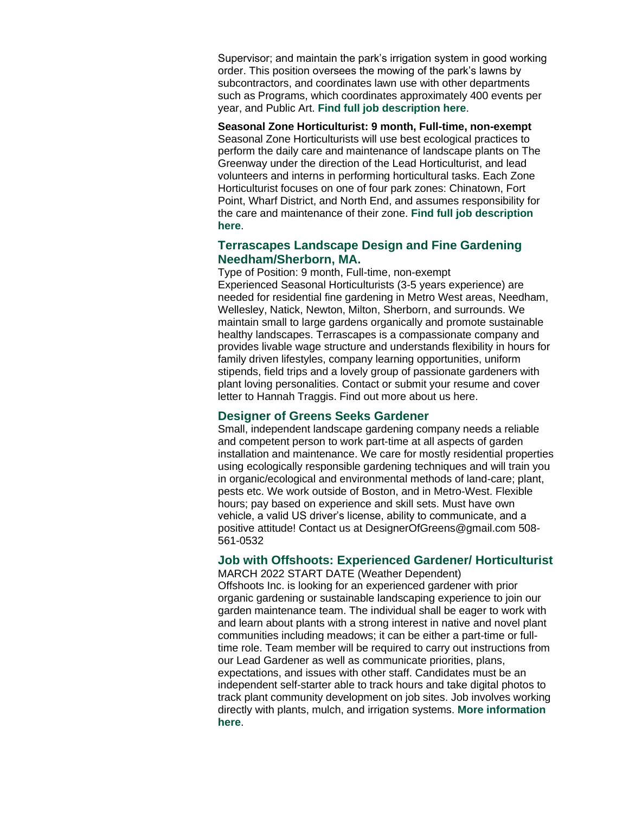Supervisor; and maintain the park's irrigation system in good working order. This position oversees the mowing of the park's lawns by subcontractors, and coordinates lawn use with other departments such as Programs, which coordinates approximately 400 events per year, and Public Art. **[Find full job description here](https://r20.rs6.net/tn.jsp?f=001Pv0MPfFvU5iex5Uc03TLApY-hFi1AnWJsIloZAF9seCVqL0v-dW1hti0qFQTbPINcD9Bk-daPPyHly2ixVU5-JFmqejuPaLL5cJ2vWuRZ4SdigafoQHSXyNzK0NWPnAC3TIiqFPI8_K2LFw4Eam8mac7ltBIT-auQHaorH_yu4YpLeLBDIzjcmsgMpmY5OrykTuVUeDRPgJNHJHGx-nqEQ==&c=AoKnR7bkG71gFbjiSkooKwSgDsmMenYcyb6ttTpJ_JTk9AkJ8qdlfA==&ch=szsaDi2JhSisZK2phfnYZ9hF7byqzVPB4iNnchNqJDsGK1Tdc3Eb1g==)**.

**Seasonal Zone Horticulturist: 9 month, Full-time, non-exempt** Seasonal Zone Horticulturists will use best ecological practices to perform the daily care and maintenance of landscape plants on The Greenway under the direction of the Lead Horticulturist, and lead volunteers and interns in performing horticultural tasks. Each Zone Horticulturist focuses on one of four park zones: Chinatown, Fort Point, Wharf District, and North End, and assumes responsibility for the care and maintenance of their zone. **Find full job description [here](https://r20.rs6.net/tn.jsp?f=001Pv0MPfFvU5iex5Uc03TLApY-hFi1AnWJsIloZAF9seCVqL0v-dW1hti0qFQTbPINp7WoOSUxliv8sFvuNACFSKXB-eWDNT-v7MyjSUxynPBMqhO88ElS0ewz0qSX2vjdyOsm4B_dqQ3wmGzM1o_rIy1DQmipd9VkwBjg3IquAZc1MPtoXhS_ZtjnszYnqRVav4hnXzIUTLSSyQGzsaFe_g==&c=AoKnR7bkG71gFbjiSkooKwSgDsmMenYcyb6ttTpJ_JTk9AkJ8qdlfA==&ch=szsaDi2JhSisZK2phfnYZ9hF7byqzVPB4iNnchNqJDsGK1Tdc3Eb1g==)**.

### **Terrascapes Landscape Design and Fine Gardening Needham/Sherborn, MA.**

Type of Position: 9 month, Full-time, non-exempt Experienced Seasonal Horticulturists (3-5 years experience) are needed for residential fine gardening in Metro West areas, Needham, Wellesley, Natick, Newton, Milton, Sherborn, and surrounds. We maintain small to large gardens organically and promote sustainable healthy landscapes. Terrascapes is a compassionate company and provides livable wage structure and understands flexibility in hours for family driven lifestyles, company learning opportunities, uniform stipends, field trips and a lovely group of passionate gardeners with plant loving personalities. Contact or submit your resume and cover letter to [Hannah Traggis.](mailto:htraggis@terrascapeslandscapedesign.com) [Find out more about us here.](https://r20.rs6.net/tn.jsp?f=001Pv0MPfFvU5iex5Uc03TLApY-hFi1AnWJsIloZAF9seCVqL0v-dW1hgWCPPlMv-B3tYas21Cmrey8PYEd3lm0x1VZ_cAjxKIe-5OdejtlgxqtX_d1-ayM2HtXNqvKjlYcId0d2nTKFKS1t6pQKBah-apEur1Orv7-E1fe647Ro9U=&c=AoKnR7bkG71gFbjiSkooKwSgDsmMenYcyb6ttTpJ_JTk9AkJ8qdlfA==&ch=szsaDi2JhSisZK2phfnYZ9hF7byqzVPB4iNnchNqJDsGK1Tdc3Eb1g==)

#### **Designer of Greens Seeks Gardener**

Small, independent landscape gardening company needs a reliable and competent person to work part-time at all aspects of garden installation and maintenance. We care for mostly residential properties using ecologically responsible gardening techniques and will train you in organic/ecological and environmental methods of land-care; plant, pests etc. We work outside of Boston, and in Metro-West. Flexible hours; pay based on experience and skill sets. Must have own vehicle, a valid US driver's license, ability to communicate, and a positive attitude! Contact us at DesignerOfGreens@gmail.com 508- 561-0532

### **Job with Offshoots: Experienced Gardener/ Horticulturist**

MARCH 2022 START DATE (Weather Dependent) Offshoots Inc. is looking for an experienced gardener with prior organic gardening or sustainable landscaping experience to join our garden maintenance team. The individual shall be eager to work with and learn about plants with a strong interest in native and novel plant communities including meadows; it can be either a part-time or fulltime role. Team member will be required to carry out instructions from our Lead Gardener as well as communicate priorities, plans, expectations, and issues with other staff. Candidates must be an independent self-starter able to track hours and take digital photos to track plant community development on job sites. Job involves working directly with plants, mulch, and irrigation systems. **[More information](https://r20.rs6.net/tn.jsp?f=001Pv0MPfFvU5iex5Uc03TLApY-hFi1AnWJsIloZAF9seCVqL0v-dW1hti0qFQTbPINEsUzXORSp27MMRcLv-moYUgIUXuFre9dgq5ZeX3c957qk_JCHcElu2vsAEfzoVfPTerMukyYyehmbc85lAzDWA==&c=AoKnR7bkG71gFbjiSkooKwSgDsmMenYcyb6ttTpJ_JTk9AkJ8qdlfA==&ch=szsaDi2JhSisZK2phfnYZ9hF7byqzVPB4iNnchNqJDsGK1Tdc3Eb1g==)  [here](https://r20.rs6.net/tn.jsp?f=001Pv0MPfFvU5iex5Uc03TLApY-hFi1AnWJsIloZAF9seCVqL0v-dW1hti0qFQTbPINEsUzXORSp27MMRcLv-moYUgIUXuFre9dgq5ZeX3c957qk_JCHcElu2vsAEfzoVfPTerMukyYyehmbc85lAzDWA==&c=AoKnR7bkG71gFbjiSkooKwSgDsmMenYcyb6ttTpJ_JTk9AkJ8qdlfA==&ch=szsaDi2JhSisZK2phfnYZ9hF7byqzVPB4iNnchNqJDsGK1Tdc3Eb1g==)**.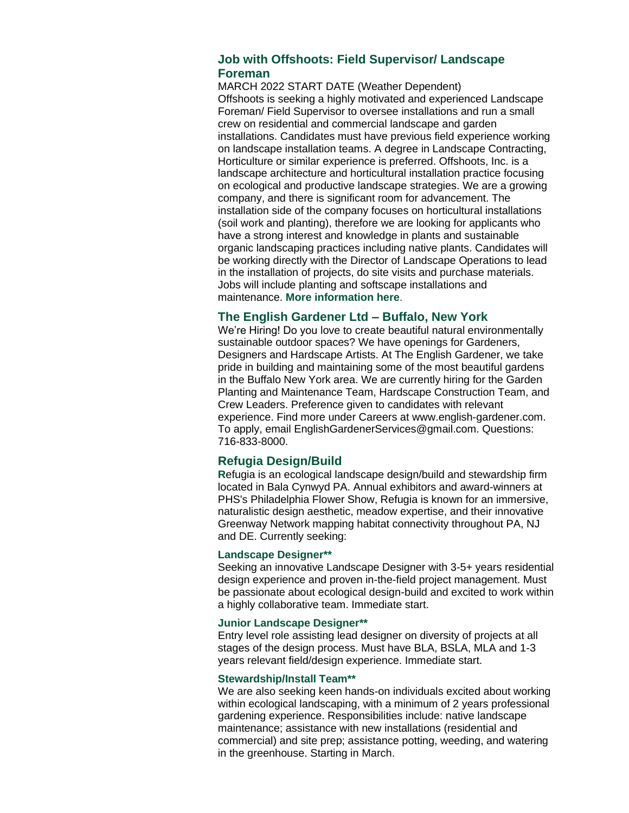### **Job with Offshoots: Field Supervisor/ Landscape Foreman**

MARCH 2022 START DATE (Weather Dependent) Offshoots is seeking a highly motivated and experienced Landscape Foreman/ Field Supervisor to oversee installations and run a small crew on residential and commercial landscape and garden installations. Candidates must have previous field experience working on landscape installation teams. A degree in Landscape Contracting, Horticulture or similar experience is preferred. Offshoots, Inc. is a landscape architecture and horticultural installation practice focusing on ecological and productive landscape strategies. We are a growing company, and there is significant room for advancement. The installation side of the company focuses on horticultural installations (soil work and planting), therefore we are looking for applicants who have a strong interest and knowledge in plants and sustainable organic landscaping practices including native plants. Candidates will be working directly with the Director of Landscape Operations to lead in the installation of projects, do site visits and purchase materials. Jobs will include planting and softscape installations and maintenance. **[More information here](https://r20.rs6.net/tn.jsp?f=001Pv0MPfFvU5iex5Uc03TLApY-hFi1AnWJsIloZAF9seCVqL0v-dW1hti0qFQTbPINEsUzXORSp27MMRcLv-moYUgIUXuFre9dgq5ZeX3c957qk_JCHcElu2vsAEfzoVfPTerMukyYyehmbc85lAzDWA==&c=AoKnR7bkG71gFbjiSkooKwSgDsmMenYcyb6ttTpJ_JTk9AkJ8qdlfA==&ch=szsaDi2JhSisZK2phfnYZ9hF7byqzVPB4iNnchNqJDsGK1Tdc3Eb1g==)**.

#### **The English Gardener Ltd – Buffalo, New York**

We're Hiring! Do you love to create beautiful natural environmentally sustainable outdoor spaces? We have openings for Gardeners, Designers and Hardscape Artists. At The English Gardener, we take pride in building and maintaining some of the most beautiful gardens in the Buffalo New York area. We are currently hiring for the Garden Planting and Maintenance Team, Hardscape Construction Team, and Crew Leaders. Preference given to candidates with relevant experience. Find more under Careers at [www.english-gardener.com.](https://r20.rs6.net/tn.jsp?f=001Pv0MPfFvU5iex5Uc03TLApY-hFi1AnWJsIloZAF9seCVqL0v-dW1hti0qFQTbPINV3czzSWOrIR2z8CEAC2_bSbyBRFQF-_oJZhVkYOTwekptrAWhpgez79yjXrPD5tdTdhxZfrHVYGB5Eb-6r-nlsb1g5qPXZi1&c=AoKnR7bkG71gFbjiSkooKwSgDsmMenYcyb6ttTpJ_JTk9AkJ8qdlfA==&ch=szsaDi2JhSisZK2phfnYZ9hF7byqzVPB4iNnchNqJDsGK1Tdc3Eb1g==) To apply, email EnglishGardenerServices@gmail.com. Questions: 716-833-8000.

#### **Refugia Design/Build**

**R**efugia is an ecological landscape design/build and stewardship firm located in Bala Cynwyd PA. Annual exhibitors and award-winners at PHS's Philadelphia Flower Show, Refugia is known for an immersive, naturalistic design aesthetic, meadow expertise, and their innovative Greenway Network mapping habitat connectivity throughout PA, NJ and DE. Currently seeking:

#### **Landscape Designer\*\***

Seeking an innovative Landscape Designer with 3-5+ years residential design experience and proven in-the-field project management. Must be passionate about ecological design-build and excited to work within a highly collaborative team. Immediate start.

#### **Junior Landscape Designer\*\***

Entry level role assisting lead designer on diversity of projects at all stages of the design process. Must have BLA, BSLA, MLA and 1-3 years relevant field/design experience. Immediate start.

#### **Stewardship/Install Team\*\***

We are also seeking keen hands-on individuals excited about working within ecological landscaping, with a minimum of 2 years professional gardening experience. Responsibilities include: native landscape maintenance; assistance with new installations (residential and commercial) and site prep; assistance potting, weeding, and watering in the greenhouse. Starting in March.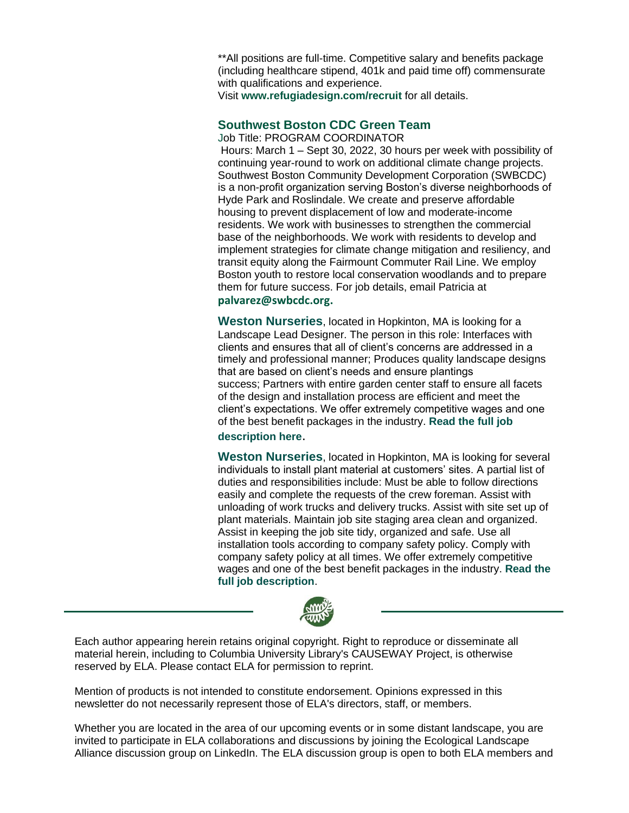\*\*All positions are full-time. Competitive salary and benefits package (including healthcare stipend, 401k and paid time off) commensurate with qualifications and experience.

Visit **[www.refugiadesign.com/recruit](https://r20.rs6.net/tn.jsp?f=001Pv0MPfFvU5iex5Uc03TLApY-hFi1AnWJsIloZAF9seCVqL0v-dW1hkLAO9bmzwTBFeqEGTZAQIN0qnoEWViGplU3oXtg-6hPQJABfQAQQ2qEVmq_Hefsv0yOIefO1tjhldBT6pk6r8lDq8y-FcnbJdiR3s_s-l2m&c=AoKnR7bkG71gFbjiSkooKwSgDsmMenYcyb6ttTpJ_JTk9AkJ8qdlfA==&ch=szsaDi2JhSisZK2phfnYZ9hF7byqzVPB4iNnchNqJDsGK1Tdc3Eb1g==)** for all details.

# **Southwest Boston CDC Green Team**

Job Title: PROGRAM COORDINATOR

Hours: March 1 – Sept 30, 2022, 30 hours per week with possibility of continuing year-round to work on additional climate change projects. Southwest Boston Community Development Corporation (SWBCDC) is a non-profit organization serving Boston's diverse neighborhoods of Hyde Park and Roslindale. We create and preserve affordable housing to prevent displacement of low and moderate-income residents. We work with businesses to strengthen the commercial base of the neighborhoods. We work with residents to develop and implement strategies for climate change mitigation and resiliency, and transit equity along the Fairmount Commuter Rail Line. We employ Boston youth to restore local conservation woodlands and to prepare them for future success. For job details, email Patricia at

#### **[palvarez@swbcdc.org.](mailto:palvarez@swbcdc.org)**

**Weston Nurseries**, located in Hopkinton, MA is looking for a Landscape Lead Designer. The person in this role: Interfaces with clients and ensures that all of client's concerns are addressed in a timely and professional manner; Produces quality landscape designs that are based on client's needs and ensure plantings success; Partners with entire garden center staff to ensure all facets of the design and installation process are efficient and meet the client's expectations. We offer extremely competitive wages and one of the best benefit packages in the industry. **[Read the full job](https://r20.rs6.net/tn.jsp?f=001Pv0MPfFvU5iex5Uc03TLApY-hFi1AnWJsIloZAF9seCVqL0v-dW1hqVTr3qBps9HpNAx6TZhicDHem78io2L0VyMDKCLzJRjvgMPhJEMKHyRluD5N5v1iqxNT572StChVB5MQ3ObnhutFNx7Z9plTqXSuZmQLuJakZGZZm513j8qDdQW070cFKall3EwOSXMgroTuFnzT_I=&c=AoKnR7bkG71gFbjiSkooKwSgDsmMenYcyb6ttTpJ_JTk9AkJ8qdlfA==&ch=szsaDi2JhSisZK2phfnYZ9hF7byqzVPB4iNnchNqJDsGK1Tdc3Eb1g==)** 

### **[description here](https://r20.rs6.net/tn.jsp?f=001Pv0MPfFvU5iex5Uc03TLApY-hFi1AnWJsIloZAF9seCVqL0v-dW1hqVTr3qBps9HpNAx6TZhicDHem78io2L0VyMDKCLzJRjvgMPhJEMKHyRluD5N5v1iqxNT572StChVB5MQ3ObnhutFNx7Z9plTqXSuZmQLuJakZGZZm513j8qDdQW070cFKall3EwOSXMgroTuFnzT_I=&c=AoKnR7bkG71gFbjiSkooKwSgDsmMenYcyb6ttTpJ_JTk9AkJ8qdlfA==&ch=szsaDi2JhSisZK2phfnYZ9hF7byqzVPB4iNnchNqJDsGK1Tdc3Eb1g==)**.

**Weston Nurseries**, located in Hopkinton, MA is looking for several individuals to install plant material at customers' sites. A partial list of duties and responsibilities include: Must be able to follow directions easily and complete the requests of the crew foreman. Assist with unloading of work trucks and delivery trucks. Assist with site set up of plant materials. Maintain job site staging area clean and organized. Assist in keeping the job site tidy, organized and safe. Use all installation tools according to company safety policy. Comply with company safety policy at all times. We offer extremely competitive wages and one of the best benefit packages in the industry. **[Read the](https://r20.rs6.net/tn.jsp?f=001Pv0MPfFvU5iex5Uc03TLApY-hFi1AnWJsIloZAF9seCVqL0v-dW1hqVTr3qBps9HTE34mLrrtsV38C7JoO2nm4qM0aJxjyh83CCaTPMhGQV4iZU5ZRXACc37_pCwtYoC9qPLnPLV8IF7jVdvjlGVanmzMrtfPJ5hSAhki9Wif-x__ow7TJ5jnhfv7sVoXg3z&c=AoKnR7bkG71gFbjiSkooKwSgDsmMenYcyb6ttTpJ_JTk9AkJ8qdlfA==&ch=szsaDi2JhSisZK2phfnYZ9hF7byqzVPB4iNnchNqJDsGK1Tdc3Eb1g==)  [full job description](https://r20.rs6.net/tn.jsp?f=001Pv0MPfFvU5iex5Uc03TLApY-hFi1AnWJsIloZAF9seCVqL0v-dW1hqVTr3qBps9HTE34mLrrtsV38C7JoO2nm4qM0aJxjyh83CCaTPMhGQV4iZU5ZRXACc37_pCwtYoC9qPLnPLV8IF7jVdvjlGVanmzMrtfPJ5hSAhki9Wif-x__ow7TJ5jnhfv7sVoXg3z&c=AoKnR7bkG71gFbjiSkooKwSgDsmMenYcyb6ttTpJ_JTk9AkJ8qdlfA==&ch=szsaDi2JhSisZK2phfnYZ9hF7byqzVPB4iNnchNqJDsGK1Tdc3Eb1g==)**.



Each author appearing herein retains original copyright. Right to reproduce or disseminate all material herein, including to Columbia University Library's CAUSEWAY Project, is otherwise reserved by ELA. Please contact ELA for permission to reprint.

Mention of products is not intended to constitute endorsement. Opinions expressed in this newsletter do not necessarily represent those of ELA's directors, staff, or members.

Whether you are located in the area of our upcoming events or in some distant landscape, you are invited to participate in ELA collaborations and discussions by joining the Ecological Landscape Alliance discussion group on LinkedIn. The ELA discussion group is open to both ELA members and